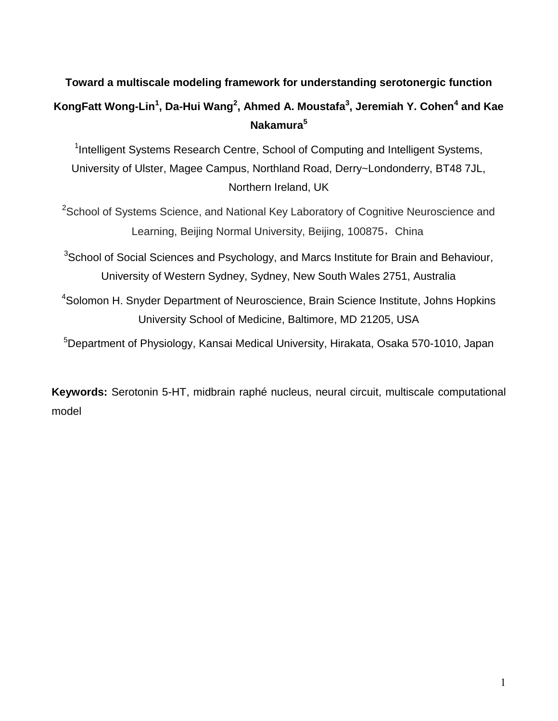# **Toward a multiscale modeling framework for understanding serotonergic function KongFatt Wong-Lin<sup>1</sup> , Da-Hui Wang<sup>2</sup> , Ahmed A. Moustafa<sup>3</sup> , Jeremiah Y. Cohen<sup>4</sup> and Kae Nakamura<sup>5</sup>**

<sup>1</sup>Intelligent Systems Research Centre, School of Computing and Intelligent Systems, University of Ulster, Magee Campus, Northland Road, Derry~Londonderry, BT48 7JL, Northern Ireland, UK

<sup>2</sup>School of Systems Science, and National Key Laboratory of Cognitive Neuroscience and Learning, Beijing Normal University, Beijing, 100875, China

<sup>3</sup>School of Social Sciences and Psychology, and Marcs Institute for Brain and Behaviour, University of Western Sydney, Sydney, New South Wales 2751, Australia

<sup>4</sup>Solomon H. Snyder Department of Neuroscience, Brain Science Institute, Johns Hopkins University School of Medicine, Baltimore, MD 21205, USA

<sup>5</sup>Department of Physiology, Kansai Medical University, Hirakata, Osaka 570-1010, Japan

**Keywords:** Serotonin 5-HT, midbrain raphé nucleus, neural circuit, multiscale computational model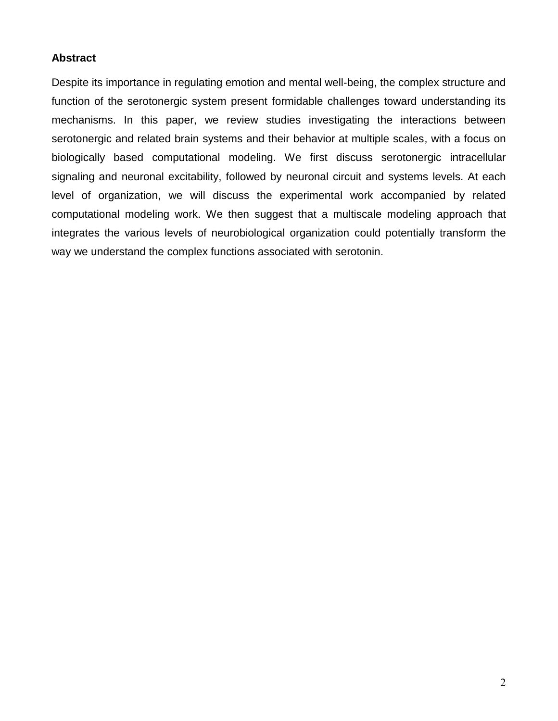## **Abstract**

Despite its importance in regulating emotion and mental well-being, the complex structure and function of the serotonergic system present formidable challenges toward understanding its mechanisms. In this paper, we review studies investigating the interactions between serotonergic and related brain systems and their behavior at multiple scales, with a focus on biologically based computational modeling. We first discuss serotonergic intracellular signaling and neuronal excitability, followed by neuronal circuit and systems levels. At each level of organization, we will discuss the experimental work accompanied by related computational modeling work. We then suggest that a multiscale modeling approach that integrates the various levels of neurobiological organization could potentially transform the way we understand the complex functions associated with serotonin.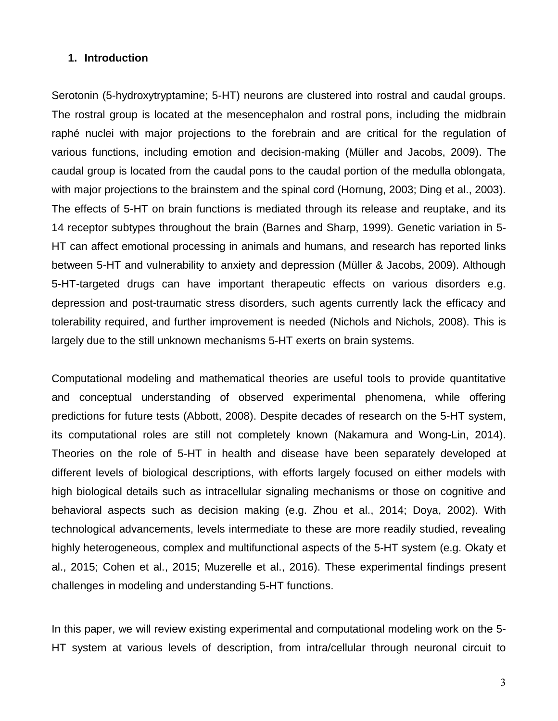#### **1. Introduction**

Serotonin (5-hydroxytryptamine; 5-HT) neurons are clustered into rostral and caudal groups. The rostral group is located at the mesencephalon and rostral pons, including the midbrain raphé nuclei with major projections to the forebrain and are critical for the regulation of various functions, including emotion and decision-making (Müller and Jacobs, 2009). The caudal group is located from the caudal pons to the caudal portion of the medulla oblongata, with major projections to the brainstem and the spinal cord (Hornung, 2003; Ding et al., 2003). The effects of 5-HT on brain functions is mediated through its release and reuptake, and its 14 receptor subtypes throughout the brain (Barnes and Sharp, 1999). Genetic variation in 5- HT can affect emotional processing in animals and humans, and research has reported links between 5-HT and vulnerability to anxiety and depression (Müller & Jacobs, 2009). Although 5-HT-targeted drugs can have important therapeutic effects on various disorders e.g. depression and post-traumatic stress disorders, such agents currently lack the efficacy and tolerability required, and further improvement is needed (Nichols and Nichols, 2008). This is largely due to the still unknown mechanisms 5-HT exerts on brain systems.

Computational modeling and mathematical theories are useful tools to provide quantitative and conceptual understanding of observed experimental phenomena, while offering predictions for future tests (Abbott, 2008). Despite decades of research on the 5-HT system, its computational roles are still not completely known (Nakamura and Wong-Lin, 2014). Theories on the role of 5-HT in health and disease have been separately developed at different levels of biological descriptions, with efforts largely focused on either models with high biological details such as intracellular signaling mechanisms or those on cognitive and behavioral aspects such as decision making (e.g. Zhou et al., 2014; Doya, 2002). With technological advancements, levels intermediate to these are more readily studied, revealing highly heterogeneous, complex and multifunctional aspects of the 5-HT system (e.g. Okaty et al., 2015; Cohen et al., 2015; Muzerelle et al., 2016). These experimental findings present challenges in modeling and understanding 5-HT functions.

In this paper, we will review existing experimental and computational modeling work on the 5- HT system at various levels of description, from intra/cellular through neuronal circuit to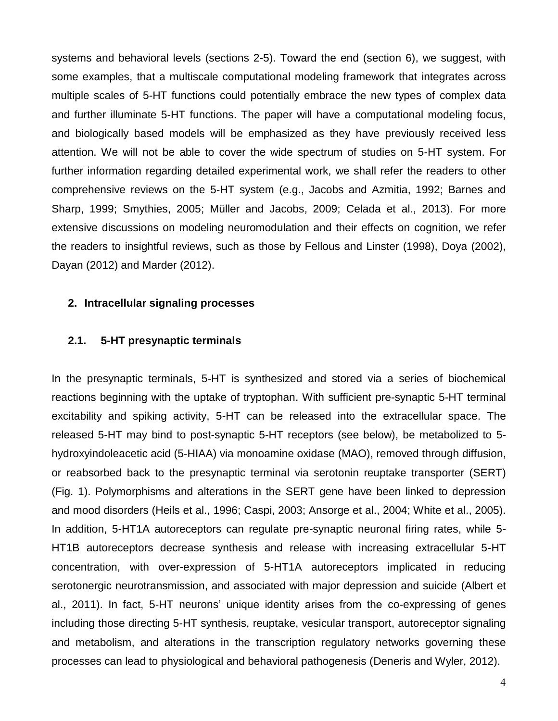systems and behavioral levels (sections 2-5). Toward the end (section 6), we suggest, with some examples, that a multiscale computational modeling framework that integrates across multiple scales of 5-HT functions could potentially embrace the new types of complex data and further illuminate 5-HT functions. The paper will have a computational modeling focus, and biologically based models will be emphasized as they have previously received less attention. We will not be able to cover the wide spectrum of studies on 5-HT system. For further information regarding detailed experimental work, we shall refer the readers to other comprehensive reviews on the 5-HT system (e.g., Jacobs and Azmitia, 1992; Barnes and Sharp, 1999; Smythies, 2005; Müller and Jacobs, 2009; Celada et al., 2013). For more extensive discussions on modeling neuromodulation and their effects on cognition, we refer the readers to insightful reviews, such as those by Fellous and Linster (1998), Doya (2002), Dayan (2012) and Marder (2012).

#### **2. Intracellular signaling processes**

#### **2.1. 5-HT presynaptic terminals**

In the presynaptic terminals, 5-HT is synthesized and stored via a series of biochemical reactions beginning with the uptake of tryptophan. With sufficient pre-synaptic 5-HT terminal excitability and spiking activity, 5-HT can be released into the extracellular space. The released 5-HT may bind to post-synaptic 5-HT receptors (see below), be metabolized to 5 hydroxyindoleacetic acid (5-HIAA) via monoamine oxidase (MAO), removed through diffusion, or reabsorbed back to the presynaptic terminal via serotonin reuptake transporter (SERT) (Fig. 1). Polymorphisms and alterations in the SERT gene have been linked to depression and mood disorders (Heils et al., 1996; Caspi, 2003; Ansorge et al., 2004; White et al., 2005). In addition, 5-HT1A autoreceptors can regulate pre-synaptic neuronal firing rates, while 5- HT1B autoreceptors decrease synthesis and release with increasing extracellular 5-HT concentration, with over-expression of 5-HT1A autoreceptors implicated in reducing serotonergic neurotransmission, and associated with major depression and suicide (Albert et al., 2011). In fact, 5-HT neurons' unique identity arises from the co-expressing of genes including those directing 5-HT synthesis, reuptake, vesicular transport, autoreceptor signaling and metabolism, and alterations in the transcription regulatory networks governing these processes can lead to physiological and behavioral pathogenesis (Deneris and Wyler, 2012).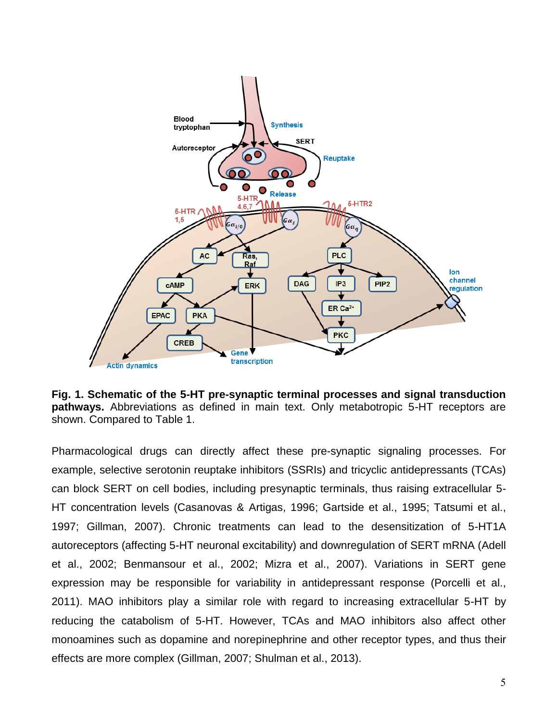

**Fig. 1. Schematic of the 5-HT pre-synaptic terminal processes and signal transduction pathways.** Abbreviations as defined in main text. Only metabotropic 5-HT receptors are shown. Compared to Table 1.

Pharmacological drugs can directly affect these pre-synaptic signaling processes. For example, selective serotonin reuptake inhibitors (SSRIs) and tricyclic antidepressants (TCAs) can block SERT on cell bodies, including presynaptic terminals, thus raising extracellular 5- HT concentration levels (Casanovas & Artigas, 1996; Gartside et al., 1995; Tatsumi et al., 1997; Gillman, 2007). Chronic treatments can lead to the desensitization of 5-HT1A autoreceptors (affecting 5-HT neuronal excitability) and downregulation of SERT mRNA (Adell et al., 2002; Benmansour et al., 2002; Mizra et al., 2007). Variations in SERT gene expression may be responsible for variability in antidepressant response (Porcelli et al., 2011). MAO inhibitors play a similar role with regard to increasing extracellular 5-HT by reducing the catabolism of 5-HT. However, TCAs and MAO inhibitors also affect other monoamines such as dopamine and norepinephrine and other receptor types, and thus their effects are more complex (Gillman, 2007; Shulman et al., 2013).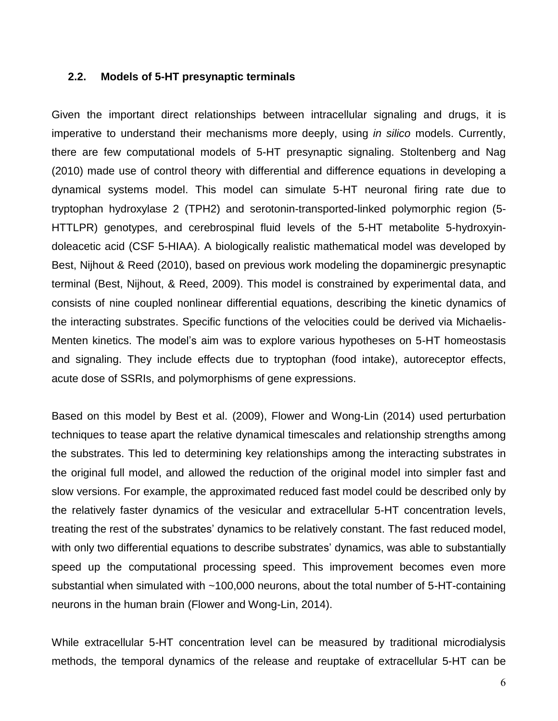#### **2.2. Models of 5-HT presynaptic terminals**

Given the important direct relationships between intracellular signaling and drugs, it is imperative to understand their mechanisms more deeply, using *in silico* models. Currently, there are few computational models of 5-HT presynaptic signaling. Stoltenberg and Nag (2010) made use of control theory with differential and difference equations in developing a dynamical systems model. This model can simulate 5-HT neuronal firing rate due to tryptophan hydroxylase 2 (TPH2) and serotonin-transported-linked polymorphic region (5- HTTLPR) genotypes, and cerebrospinal fluid levels of the 5-HT metabolite 5-hydroxyindoleacetic acid (CSF 5-HIAA). A biologically realistic mathematical model was developed by Best, Nijhout & Reed (2010), based on previous work modeling the dopaminergic presynaptic terminal (Best, Nijhout, & Reed, 2009). This model is constrained by experimental data, and consists of nine coupled nonlinear differential equations, describing the kinetic dynamics of the interacting substrates. Specific functions of the velocities could be derived via Michaelis-Menten kinetics. The model's aim was to explore various hypotheses on 5-HT homeostasis and signaling. They include effects due to tryptophan (food intake), autoreceptor effects, acute dose of SSRIs, and polymorphisms of gene expressions.

Based on this model by Best et al. (2009), Flower and Wong-Lin (2014) used perturbation techniques to tease apart the relative dynamical timescales and relationship strengths among the substrates. This led to determining key relationships among the interacting substrates in the original full model, and allowed the reduction of the original model into simpler fast and slow versions. For example, the approximated reduced fast model could be described only by the relatively faster dynamics of the vesicular and extracellular 5-HT concentration levels, treating the rest of the substrates' dynamics to be relatively constant. The fast reduced model, with only two differential equations to describe substrates' dynamics, was able to substantially speed up the computational processing speed. This improvement becomes even more substantial when simulated with ~100,000 neurons, about the total number of 5-HT-containing neurons in the human brain (Flower and Wong-Lin, 2014).

While extracellular 5-HT concentration level can be measured by traditional microdialysis methods, the temporal dynamics of the release and reuptake of extracellular 5-HT can be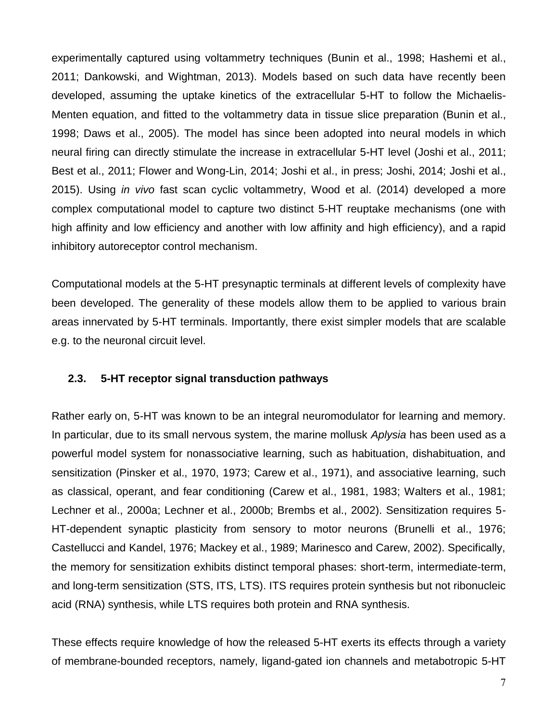experimentally captured using voltammetry techniques (Bunin et al., 1998; Hashemi et al., 2011; Dankowski, and Wightman, 2013). Models based on such data have recently been developed, assuming the uptake kinetics of the extracellular 5-HT to follow the Michaelis-Menten equation, and fitted to the voltammetry data in tissue slice preparation (Bunin et al., 1998; Daws et al., 2005). The model has since been adopted into neural models in which neural firing can directly stimulate the increase in extracellular 5-HT level (Joshi et al., 2011; Best et al., 2011; Flower and Wong-Lin, 2014; Joshi et al., in press; Joshi, 2014; Joshi et al., 2015). Using *in vivo* fast scan cyclic voltammetry, Wood et al. (2014) developed a more complex computational model to capture two distinct 5-HT reuptake mechanisms (one with high affinity and low efficiency and another with low affinity and high efficiency), and a rapid inhibitory autoreceptor control mechanism.

Computational models at the 5-HT presynaptic terminals at different levels of complexity have been developed. The generality of these models allow them to be applied to various brain areas innervated by 5-HT terminals. Importantly, there exist simpler models that are scalable e.g. to the neuronal circuit level.

## **2.3. 5-HT receptor signal transduction pathways**

Rather early on, 5-HT was known to be an integral neuromodulator for learning and memory. In particular, due to its small nervous system, the marine mollusk *Aplysia* has been used as a powerful model system for nonassociative learning, such as habituation, dishabituation, and sensitization (Pinsker et al., 1970, 1973; Carew et al., 1971), and associative learning, such as classical, operant, and fear conditioning (Carew et al., 1981, 1983; Walters et al., 1981; Lechner et al., 2000a; Lechner et al., 2000b; Brembs et al., 2002). Sensitization requires 5- HT-dependent synaptic plasticity from sensory to motor neurons (Brunelli et al., 1976; Castellucci and Kandel, 1976; Mackey et al., 1989; Marinesco and Carew, 2002). Specifically, the memory for sensitization exhibits distinct temporal phases: short-term, intermediate-term, and long-term sensitization (STS, ITS, LTS). ITS requires protein synthesis but not ribonucleic acid (RNA) synthesis, while LTS requires both protein and RNA synthesis.

These effects require knowledge of how the released 5-HT exerts its effects through a variety of membrane-bounded receptors, namely, ligand-gated ion channels and metabotropic 5-HT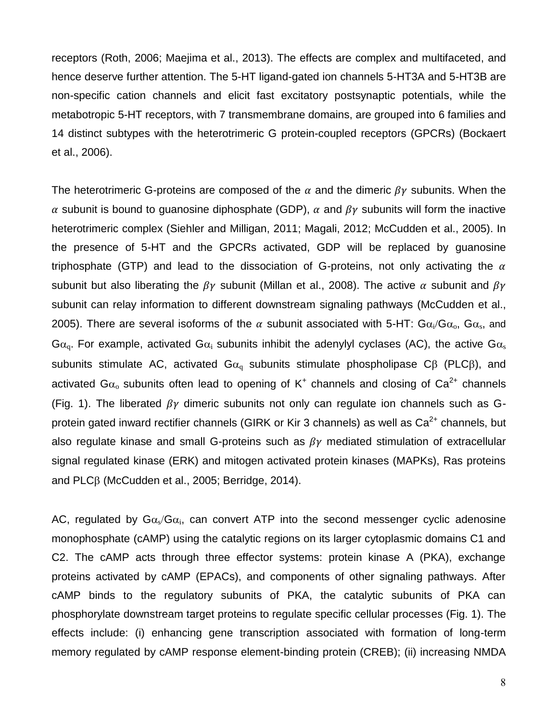receptors (Roth, 2006; Maejima et al., 2013). The effects are complex and multifaceted, and hence deserve further attention. The 5-HT ligand-gated ion channels 5-HT3A and 5-HT3B are non-specific cation channels and elicit fast excitatory postsynaptic potentials, while the metabotropic 5-HT receptors, with 7 transmembrane domains, are grouped into 6 families and 14 distinct subtypes with the heterotrimeric G protein-coupled receptors (GPCRs) (Bockaert et al., 2006).

The heterotrimeric G-proteins are composed of the  $\alpha$  and the dimeric  $\beta \gamma$  subunits. When the  $\alpha$  subunit is bound to guanosine diphosphate (GDP),  $\alpha$  and  $\beta\gamma$  subunits will form the inactive heterotrimeric complex (Siehler and Milligan, 2011; Magali, 2012; McCudden et al., 2005). In the presence of 5-HT and the GPCRs activated, GDP will be replaced by guanosine triphosphate (GTP) and lead to the dissociation of G-proteins, not only activating the  $\alpha$ subunit but also liberating the  $\beta\gamma$  subunit (Millan et al., 2008). The active  $\alpha$  subunit and  $\beta\gamma$ subunit can relay information to different downstream signaling pathways (McCudden et al., 2005). There are several isoforms of the  $\alpha$  subunit associated with 5-HT: G $\alpha_i/G\alpha_o$ , G $\alpha_s$ , and  $G\alpha_{\rm o}$ . For example, activated  $G\alpha_{\rm i}$  subunits inhibit the adenylyl cyclases (AC), the active  $G\alpha_{\rm s}$ subunits stimulate AC, activated  $Ga<sub>q</sub>$  subunits stimulate phospholipase C $\beta$  (PLC $\beta$ ), and activated G $\alpha_{\rm o}$  subunits often lead to opening of K<sup>+</sup> channels and closing of Ca<sup>2+</sup> channels (Fig. 1). The liberated  $\beta\gamma$  dimeric subunits not only can regulate ion channels such as Gprotein gated inward rectifier channels (GIRK or Kir 3 channels) as well as  $Ca^{2+}$  channels, but also regulate kinase and small G-proteins such as  $\beta\gamma$  mediated stimulation of extracellular signal regulated kinase (ERK) and mitogen activated protein kinases (MAPKs), Ras proteins and  $PLC\beta$  (McCudden et al., 2005; Berridge, 2014).

AC, regulated by  $Ga_s/Ga_i$ , can convert ATP into the second messenger cyclic adenosine monophosphate (cAMP) using the catalytic regions on its larger cytoplasmic domains C1 and C2. The cAMP acts through three effector systems: protein kinase A (PKA), exchange proteins activated by cAMP (EPACs), and components of other signaling pathways. After cAMP binds to the regulatory subunits of PKA, the catalytic subunits of PKA can phosphorylate downstream target proteins to regulate specific cellular processes (Fig. 1). The effects include: (i) enhancing gene transcription associated with formation of long-term memory regulated by cAMP response element-binding protein (CREB); (ii) increasing NMDA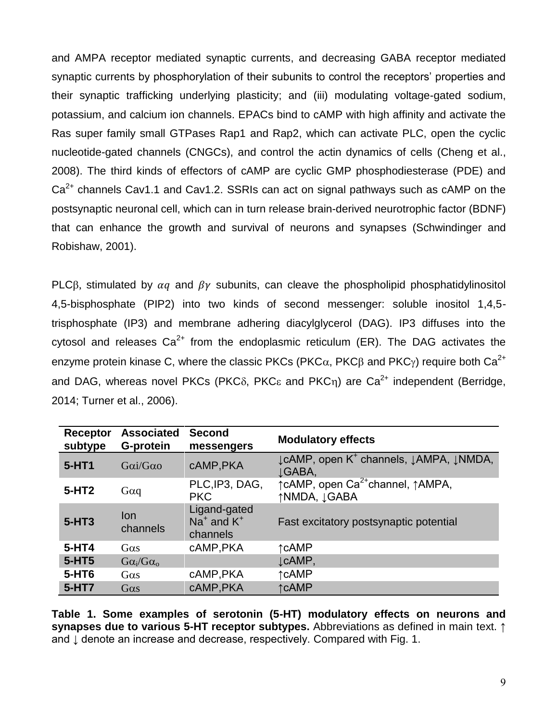and AMPA receptor mediated synaptic currents, and decreasing GABA receptor mediated synaptic currents by phosphorylation of their subunits to control the receptors' properties and their synaptic trafficking underlying plasticity; and (iii) modulating voltage-gated sodium, potassium, and calcium ion channels. EPACs bind to cAMP with high affinity and activate the Ras super family small GTPases Rap1 and Rap2, which can activate PLC, open the cyclic nucleotide-gated channels (CNGCs), and control the actin dynamics of cells (Cheng et al., 2008). The third kinds of effectors of cAMP are cyclic GMP phosphodiesterase (PDE) and  $Ca<sup>2+</sup>$  channels Cav1.1 and Cav1.2. SSRIs can act on signal pathways such as cAMP on the postsynaptic neuronal cell, which can in turn release brain-derived neurotrophic factor (BDNF) that can enhance the growth and survival of neurons and synapses (Schwindinger and Robishaw, 2001).

PLC $\beta$ , stimulated by  $\alpha q$  and  $\beta \gamma$  subunits, can cleave the phospholipid phosphatidylinositol 4,5-bisphosphate (PIP2) into two kinds of second messenger: soluble inositol 1,4,5 trisphosphate (IP3) and membrane adhering diacylglycerol (DAG). IP3 diffuses into the cytosol and releases  $Ca^{2+}$  from the endoplasmic reticulum (ER). The DAG activates the enzyme protein kinase C, where the classic PKCs (PKC $\alpha$ , PKC $\beta$  and PKC $\gamma$ ) require both Ca<sup>2+</sup> and DAG, whereas novel PKCs (PKC $\delta$ , PKC $\epsilon$  and PKC<sub>n</sub>) are Ca<sup>2+</sup> independent (Berridge, 2014; Turner et al., 2006).

| Receptor<br>subtype | <b>Associated</b><br>G-protein | <b>Second</b><br>messengers                | <b>Modulatory effects</b>                                       |
|---------------------|--------------------------------|--------------------------------------------|-----------------------------------------------------------------|
| 5-HT1               | $Gai/G\alpha$                  | cAMP, PKA                                  | ↓ cAMP, open K <sup>+</sup> channels, ↓ AMPA, ↓ NMDA,<br>JGABA, |
| $5-HT2$             | $G\alpha q$                    | PLC, IP3, DAG,<br><b>PKC</b>               | ↑ cAMP, open Ca <sup>2+</sup> channel, ↑ AMPA,<br>↑NMDA, JGABA  |
| $5-HT3$             | lon<br>channels                | Ligand-gated<br>$Na+$ and $K+$<br>channels | Fast excitatory postsynaptic potential                          |
| $5-HT4$             | $G\alpha s$                    | cAMP, PKA                                  | ↑cAMP                                                           |
| 5-HT5               | $Ga_i/G\alpha_o$               |                                            | LCAMP,                                                          |
| 5-HT6               | $G\alpha s$                    | cAMP, PKA                                  | ↑cAMP                                                           |
| 5-HT7               | $G\alpha s$                    | cAMP, PKA                                  | ↑cAMP                                                           |

**Table 1. Some examples of serotonin (5-HT) modulatory effects on neurons and synapses due to various 5-HT receptor subtypes.** Abbreviations as defined in main text. ↑ and  $\downarrow$  denote an increase and decrease, respectively. Compared with Fig. 1.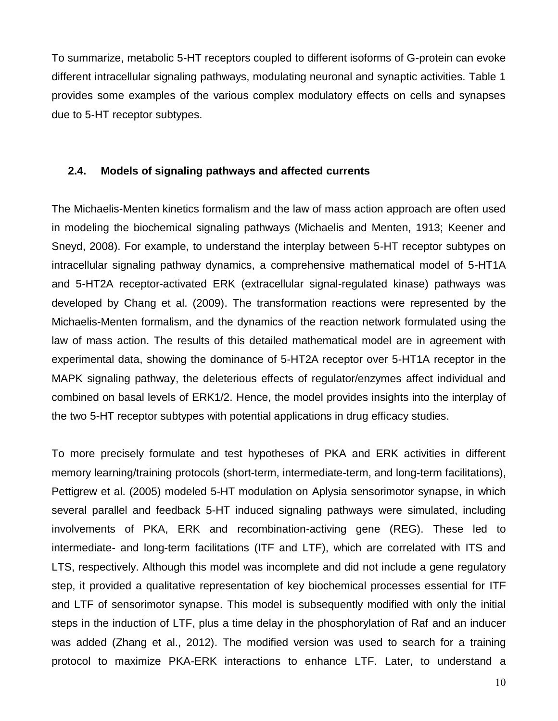To summarize, metabolic 5-HT receptors coupled to different isoforms of G-protein can evoke different intracellular signaling pathways, modulating neuronal and synaptic activities. Table 1 provides some examples of the various complex modulatory effects on cells and synapses due to 5-HT receptor subtypes.

## **2.4. Models of signaling pathways and affected currents**

The Michaelis-Menten kinetics formalism and the law of mass action approach are often used in modeling the biochemical signaling pathways (Michaelis and Menten, 1913; Keener and Sneyd, 2008). For example, to understand the interplay between 5-HT receptor subtypes on intracellular signaling pathway dynamics, a comprehensive mathematical model of 5-HT1A and 5-HT2A receptor-activated ERK (extracellular signal-regulated kinase) pathways was developed by Chang et al. (2009). The transformation reactions were represented by the Michaelis-Menten formalism, and the dynamics of the reaction network formulated using the law of mass action. The results of this detailed mathematical model are in agreement with experimental data, showing the dominance of 5-HT2A receptor over 5-HT1A receptor in the MAPK signaling pathway, the deleterious effects of regulator/enzymes affect individual and combined on basal levels of ERK1/2. Hence, the model provides insights into the interplay of the two 5-HT receptor subtypes with potential applications in drug efficacy studies.

To more precisely formulate and test hypotheses of PKA and ERK activities in different memory learning/training protocols (short-term, intermediate-term, and long-term facilitations), Pettigrew et al. (2005) modeled 5-HT modulation on Aplysia sensorimotor synapse, in which several parallel and feedback 5-HT induced signaling pathways were simulated, including involvements of PKA, ERK and recombination-activing gene (REG). These led to intermediate- and long-term facilitations (ITF and LTF), which are correlated with ITS and LTS, respectively. Although this model was incomplete and did not include a gene regulatory step, it provided a qualitative representation of key biochemical processes essential for ITF and LTF of sensorimotor synapse. This model is subsequently modified with only the initial steps in the induction of LTF, plus a time delay in the phosphorylation of Raf and an inducer was added (Zhang et al., 2012). The modified version was used to search for a training protocol to maximize PKA-ERK interactions to enhance LTF. Later, to understand a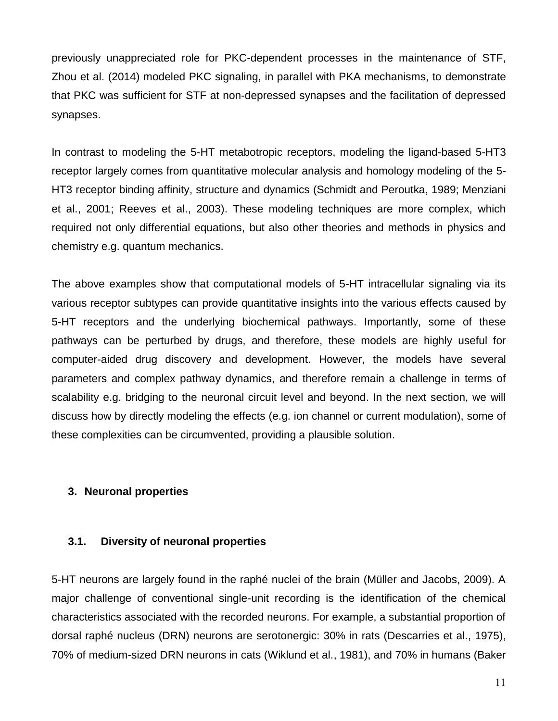previously unappreciated role for PKC-dependent processes in the maintenance of STF, Zhou et al. (2014) modeled PKC signaling, in parallel with PKA mechanisms, to demonstrate that PKC was sufficient for STF at non-depressed synapses and the facilitation of depressed synapses.

In contrast to modeling the 5-HT metabotropic receptors, modeling the ligand-based 5-HT3 receptor largely comes from quantitative molecular analysis and homology modeling of the 5- HT3 receptor binding affinity, structure and dynamics (Schmidt and Peroutka, 1989; Menziani et al., 2001; Reeves et al., 2003). These modeling techniques are more complex, which required not only differential equations, but also other theories and methods in physics and chemistry e.g. quantum mechanics.

The above examples show that computational models of 5-HT intracellular signaling via its various receptor subtypes can provide quantitative insights into the various effects caused by 5-HT receptors and the underlying biochemical pathways. Importantly, some of these pathways can be perturbed by drugs, and therefore, these models are highly useful for computer-aided drug discovery and development. However, the models have several parameters and complex pathway dynamics, and therefore remain a challenge in terms of scalability e.g. bridging to the neuronal circuit level and beyond. In the next section, we will discuss how by directly modeling the effects (e.g. ion channel or current modulation), some of these complexities can be circumvented, providing a plausible solution.

## **3. Neuronal properties**

#### **3.1. Diversity of neuronal properties**

5-HT neurons are largely found in the raphé nuclei of the brain (Müller and Jacobs, 2009). A major challenge of conventional single-unit recording is the identification of the chemical characteristics associated with the recorded neurons. For example, a substantial proportion of dorsal raphé nucleus (DRN) neurons are serotonergic: 30% in rats (Descarries et al., 1975), 70% of medium-sized DRN neurons in cats (Wiklund et al., 1981), and 70% in humans (Baker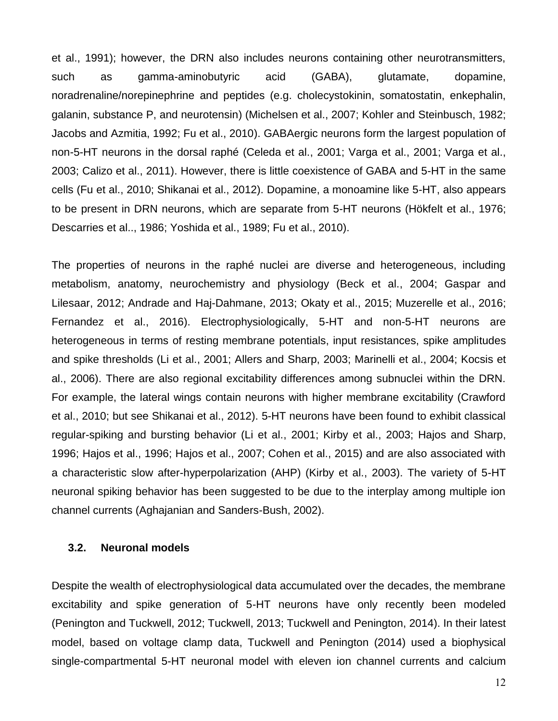et al., 1991); however, the DRN also includes neurons containing other neurotransmitters, such as gamma-aminobutyric acid (GABA), glutamate, dopamine, noradrenaline/norepinephrine and peptides (e.g. cholecystokinin, somatostatin, enkephalin, galanin, substance P, and neurotensin) (Michelsen et al., 2007; Kohler and Steinbusch, 1982; Jacobs and Azmitia, 1992; Fu et al., 2010). GABAergic neurons form the largest population of non-5-HT neurons in the dorsal raphé (Celeda et al., 2001; Varga et al., 2001; Varga et al., 2003; Calizo et al., 2011). However, there is little coexistence of GABA and 5-HT in the same cells (Fu et al., 2010; Shikanai et al., 2012). Dopamine, a monoamine like 5-HT, also appears to be present in DRN neurons, which are separate from 5-HT neurons (Hökfelt et al., 1976; Descarries et al.., 1986; Yoshida et al., 1989; Fu et al., 2010).

The properties of neurons in the raphé nuclei are diverse and heterogeneous, including metabolism, anatomy, neurochemistry and physiology (Beck et al., 2004; Gaspar and Lilesaar, 2012; Andrade and Haj-Dahmane, 2013; Okaty et al., 2015; Muzerelle et al., 2016; Fernandez et al., 2016). Electrophysiologically, 5-HT and non-5-HT neurons are heterogeneous in terms of resting membrane potentials, input resistances, spike amplitudes and spike thresholds (Li et al., 2001; Allers and Sharp, 2003; Marinelli et al., 2004; Kocsis et al., 2006). There are also regional excitability differences among subnuclei within the DRN. For example, the lateral wings contain neurons with higher membrane excitability (Crawford et al., 2010; but see Shikanai et al., 2012). 5-HT neurons have been found to exhibit classical regular-spiking and bursting behavior (Li et al., 2001; Kirby et al., 2003; Hajos and Sharp, 1996; Hajos et al., 1996; Hajos et al., 2007; Cohen et al., 2015) and are also associated with a characteristic slow after-hyperpolarization (AHP) (Kirby et al., 2003). The variety of 5-HT neuronal spiking behavior has been suggested to be due to the interplay among multiple ion channel currents (Aghajanian and Sanders-Bush, 2002).

#### **3.2. Neuronal models**

Despite the wealth of electrophysiological data accumulated over the decades, the membrane excitability and spike generation of 5-HT neurons have only recently been modeled (Penington and Tuckwell, 2012; Tuckwell, 2013; Tuckwell and Penington, 2014). In their latest model, based on voltage clamp data, Tuckwell and Penington (2014) used a biophysical single-compartmental 5-HT neuronal model with eleven ion channel currents and calcium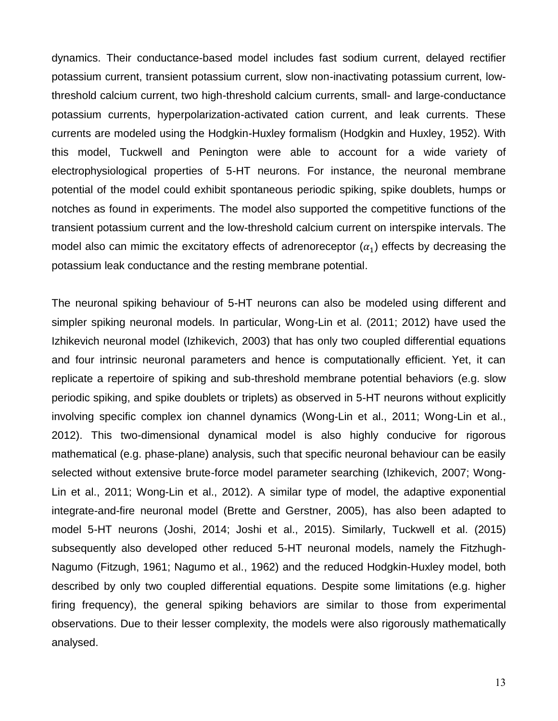dynamics. Their conductance-based model includes fast sodium current, delayed rectifier potassium current, transient potassium current, slow non-inactivating potassium current, lowthreshold calcium current, two high-threshold calcium currents, small- and large-conductance potassium currents, hyperpolarization-activated cation current, and leak currents. These currents are modeled using the Hodgkin-Huxley formalism (Hodgkin and Huxley, 1952). With this model, Tuckwell and Penington were able to account for a wide variety of electrophysiological properties of 5-HT neurons. For instance, the neuronal membrane potential of the model could exhibit spontaneous periodic spiking, spike doublets, humps or notches as found in experiments. The model also supported the competitive functions of the transient potassium current and the low-threshold calcium current on interspike intervals. The model also can mimic the excitatory effects of adrenoreceptor  $(\alpha_1)$  effects by decreasing the potassium leak conductance and the resting membrane potential.

The neuronal spiking behaviour of 5-HT neurons can also be modeled using different and simpler spiking neuronal models. In particular, Wong-Lin et al. (2011; 2012) have used the Izhikevich neuronal model (Izhikevich, 2003) that has only two coupled differential equations and four intrinsic neuronal parameters and hence is computationally efficient. Yet, it can replicate a repertoire of spiking and sub-threshold membrane potential behaviors (e.g. slow periodic spiking, and spike doublets or triplets) as observed in 5-HT neurons without explicitly involving specific complex ion channel dynamics (Wong-Lin et al., 2011; Wong-Lin et al., 2012). This two-dimensional dynamical model is also highly conducive for rigorous mathematical (e.g. phase-plane) analysis, such that specific neuronal behaviour can be easily selected without extensive brute-force model parameter searching (Izhikevich, 2007; Wong-Lin et al., 2011; Wong-Lin et al., 2012). A similar type of model, the adaptive exponential integrate-and-fire neuronal model (Brette and Gerstner, 2005), has also been adapted to model 5-HT neurons (Joshi, 2014; Joshi et al., 2015). Similarly, Tuckwell et al. (2015) subsequently also developed other reduced 5-HT neuronal models, namely the Fitzhugh-Nagumo (Fitzugh, 1961; Nagumo et al., 1962) and the reduced Hodgkin-Huxley model, both described by only two coupled differential equations. Despite some limitations (e.g. higher firing frequency), the general spiking behaviors are similar to those from experimental observations. Due to their lesser complexity, the models were also rigorously mathematically analysed.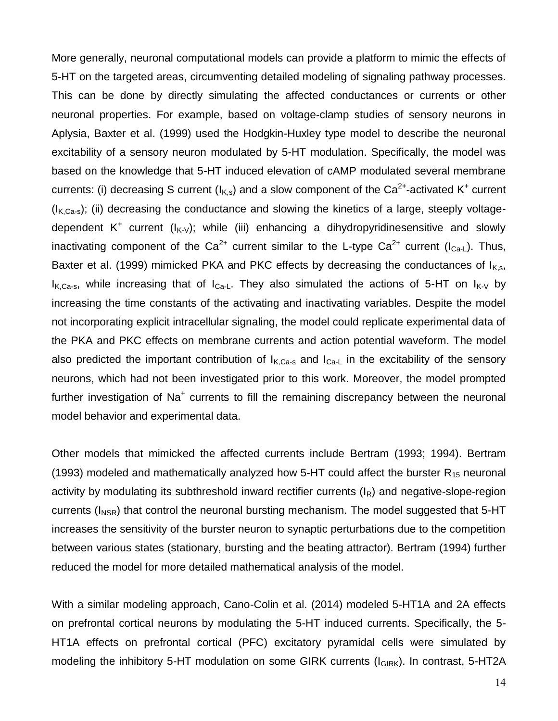More generally, neuronal computational models can provide a platform to mimic the effects of 5-HT on the targeted areas, circumventing detailed modeling of signaling pathway processes. This can be done by directly simulating the affected conductances or currents or other neuronal properties. For example, based on voltage-clamp studies of sensory neurons in Aplysia, Baxter et al. (1999) used the Hodgkin-Huxley type model to describe the neuronal excitability of a sensory neuron modulated by 5-HT modulation. Specifically, the model was based on the knowledge that 5-HT induced elevation of cAMP modulated several membrane currents: (i) decreasing S current ( $I_{K,s}$ ) and a slow component of the Ca<sup>2+</sup>-activated K<sup>+</sup> current  $(I_{K, Ca-s})$ ; (ii) decreasing the conductance and slowing the kinetics of a large, steeply voltagedependent  $K^+$  current ( $I_{K-V}$ ); while (iii) enhancing a dihydropyridinesensitive and slowly inactivating component of the  $Ca^{2+}$  current similar to the L-type  $Ca^{2+}$  current ( $I_{Ca+}$ ). Thus, Baxter et al. (1999) mimicked PKA and PKC effects by decreasing the conductances of  $I_{K,s}$ ,  $I_{K,Ca-s}$ , while increasing that of  $I_{Ca-L}$ . They also simulated the actions of 5-HT on  $I_{K-V}$  by increasing the time constants of the activating and inactivating variables. Despite the model not incorporating explicit intracellular signaling, the model could replicate experimental data of the PKA and PKC effects on membrane currents and action potential waveform. The model also predicted the important contribution of  $I_{K,Ca-s}$  and  $I_{Ca-L}$  in the excitability of the sensory neurons, which had not been investigated prior to this work. Moreover, the model prompted further investigation of  $Na<sup>+</sup>$  currents to fill the remaining discrepancy between the neuronal model behavior and experimental data.

Other models that mimicked the affected currents include Bertram (1993; 1994). Bertram (1993) modeled and mathematically analyzed how 5-HT could affect the burster  $R_{15}$  neuronal activity by modulating its subthreshold inward rectifier currents  $(I_R)$  and negative-slope-region currents ( $I_{NSR}$ ) that control the neuronal bursting mechanism. The model suggested that 5-HT increases the sensitivity of the burster neuron to synaptic perturbations due to the competition between various states (stationary, bursting and the beating attractor). Bertram (1994) further reduced the model for more detailed mathematical analysis of the model.

With a similar modeling approach, Cano-Colin et al. (2014) modeled 5-HT1A and 2A effects on prefrontal cortical neurons by modulating the 5-HT induced currents. Specifically, the 5- HT1A effects on prefrontal cortical (PFC) excitatory pyramidal cells were simulated by modeling the inhibitory 5-HT modulation on some GIRK currents  $(I<sub>GIRK</sub>)$ . In contrast, 5-HT2A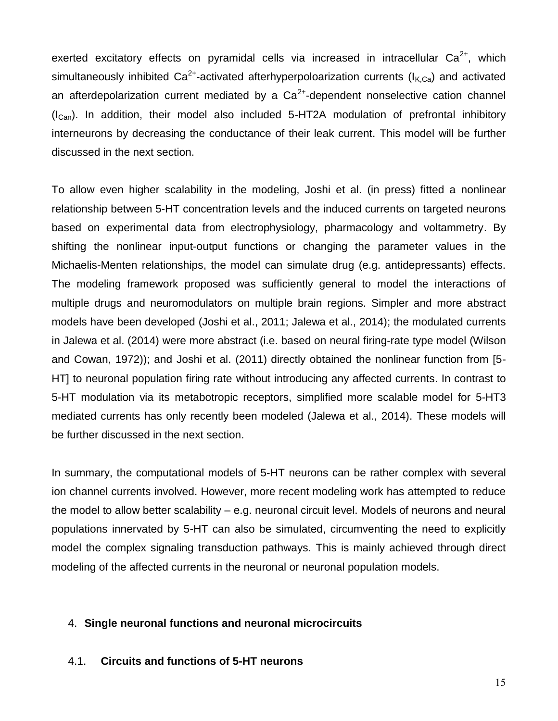exerted excitatory effects on pyramidal cells via increased in intracellular  $Ca^{2+}$ , which simultaneously inhibited Ca<sup>2+</sup>-activated afterhyperpoloarization currents (I<sub>K,Ca</sub>) and activated an afterdepolarization current mediated by a  $Ca^{2+}$ -dependent nonselective cation channel  $(I_{Can})$ . In addition, their model also included 5-HT2A modulation of prefrontal inhibitory interneurons by decreasing the conductance of their leak current. This model will be further discussed in the next section.

To allow even higher scalability in the modeling, Joshi et al. (in press) fitted a nonlinear relationship between 5-HT concentration levels and the induced currents on targeted neurons based on experimental data from electrophysiology, pharmacology and voltammetry. By shifting the nonlinear input-output functions or changing the parameter values in the Michaelis-Menten relationships, the model can simulate drug (e.g. antidepressants) effects. The modeling framework proposed was sufficiently general to model the interactions of multiple drugs and neuromodulators on multiple brain regions. Simpler and more abstract models have been developed (Joshi et al., 2011; Jalewa et al., 2014); the modulated currents in Jalewa et al. (2014) were more abstract (i.e. based on neural firing-rate type model (Wilson and Cowan, 1972)); and Joshi et al. (2011) directly obtained the nonlinear function from [5- HT] to neuronal population firing rate without introducing any affected currents. In contrast to 5-HT modulation via its metabotropic receptors, simplified more scalable model for 5-HT3 mediated currents has only recently been modeled (Jalewa et al., 2014). These models will be further discussed in the next section.

In summary, the computational models of 5-HT neurons can be rather complex with several ion channel currents involved. However, more recent modeling work has attempted to reduce the model to allow better scalability – e.g. neuronal circuit level. Models of neurons and neural populations innervated by 5-HT can also be simulated, circumventing the need to explicitly model the complex signaling transduction pathways. This is mainly achieved through direct modeling of the affected currents in the neuronal or neuronal population models.

#### 4. **Single neuronal functions and neuronal microcircuits**

#### 4.1. **Circuits and functions of 5-HT neurons**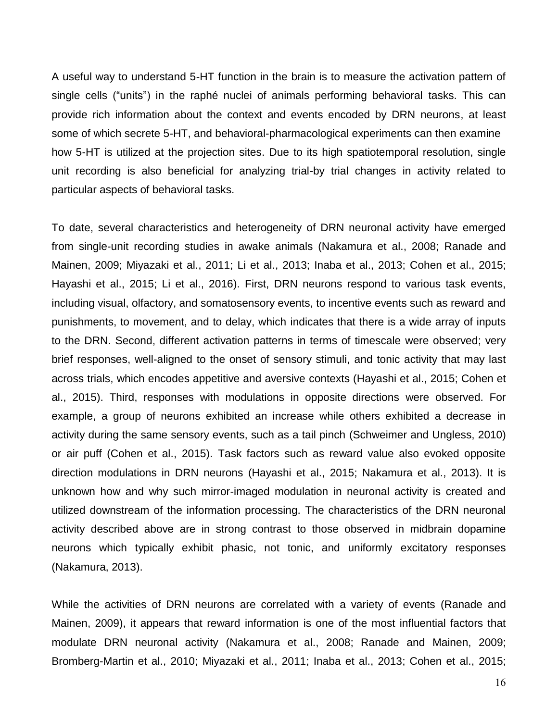A useful way to understand 5-HT function in the brain is to measure the activation pattern of single cells ("units") in the raphé nuclei of animals performing behavioral tasks. This can provide rich information about the context and events encoded by DRN neurons, at least some of which secrete 5-HT, and behavioral-pharmacological experiments can then examine how 5-HT is utilized at the projection sites. Due to its high spatiotemporal resolution, single unit recording is also beneficial for analyzing trial-by trial changes in activity related to particular aspects of behavioral tasks.

To date, several characteristics and heterogeneity of DRN neuronal activity have emerged from single-unit recording studies in awake animals (Nakamura et al., 2008; Ranade and Mainen, 2009; Miyazaki et al., 2011; Li et al., 2013; Inaba et al., 2013; Cohen et al., 2015; Hayashi et al., 2015; Li et al., 2016). First, DRN neurons respond to various task events, including visual, olfactory, and somatosensory events, to incentive events such as reward and punishments, to movement, and to delay, which indicates that there is a wide array of inputs to the DRN. Second, different activation patterns in terms of timescale were observed; very brief responses, well-aligned to the onset of sensory stimuli, and tonic activity that may last across trials, which encodes appetitive and aversive contexts (Hayashi et al., 2015; Cohen et al., 2015). Third, responses with modulations in opposite directions were observed. For example, a group of neurons exhibited an increase while others exhibited a decrease in activity during the same sensory events, such as a tail pinch (Schweimer and Ungless, 2010) or air puff (Cohen et al., 2015). Task factors such as reward value also evoked opposite direction modulations in DRN neurons (Hayashi et al., 2015; Nakamura et al., 2013). It is unknown how and why such mirror-imaged modulation in neuronal activity is created and utilized downstream of the information processing. The characteristics of the DRN neuronal activity described above are in strong contrast to those observed in midbrain dopamine neurons which typically exhibit phasic, not tonic, and uniformly excitatory responses (Nakamura, 2013).

While the activities of DRN neurons are correlated with a variety of events (Ranade and Mainen, 2009), it appears that reward information is one of the most influential factors that modulate DRN neuronal activity (Nakamura et al., 2008; Ranade and Mainen, 2009; Bromberg-Martin et al., 2010; Miyazaki et al., 2011; Inaba et al., 2013; Cohen et al., 2015;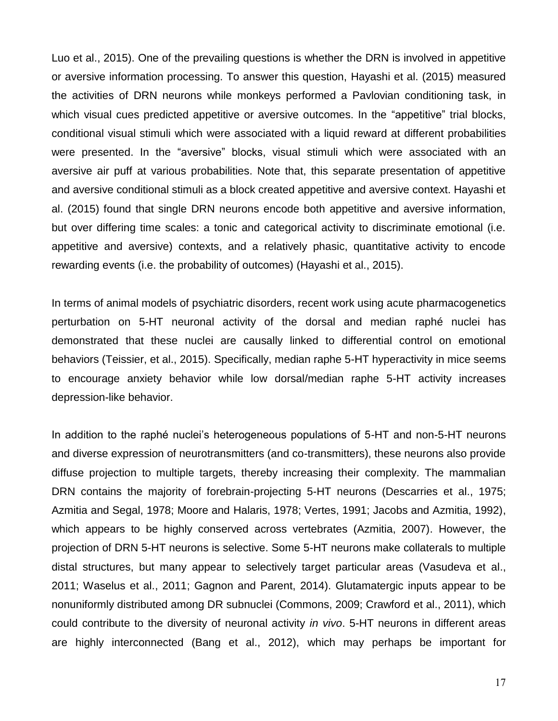Luo et al., 2015). One of the prevailing questions is whether the DRN is involved in appetitive or aversive information processing. To answer this question, Hayashi et al. (2015) measured the activities of DRN neurons while monkeys performed a Pavlovian conditioning task, in which visual cues predicted appetitive or aversive outcomes. In the "appetitive" trial blocks, conditional visual stimuli which were associated with a liquid reward at different probabilities were presented. In the "aversive" blocks, visual stimuli which were associated with an aversive air puff at various probabilities. Note that, this separate presentation of appetitive and aversive conditional stimuli as a block created appetitive and aversive context. Hayashi et al. (2015) found that single DRN neurons encode both appetitive and aversive information, but over differing time scales: a tonic and categorical activity to discriminate emotional (i.e. appetitive and aversive) contexts, and a relatively phasic, quantitative activity to encode rewarding events (i.e. the probability of outcomes) (Hayashi et al., 2015).

In terms of animal models of psychiatric disorders, recent work using acute pharmacogenetics perturbation on 5-HT neuronal activity of the dorsal and median raphé nuclei has demonstrated that these nuclei are causally linked to differential control on emotional behaviors (Teissier, et al., 2015). Specifically, median raphe 5-HT hyperactivity in mice seems to encourage anxiety behavior while low dorsal/median raphe 5-HT activity increases depression-like behavior.

In addition to the raphé nuclei's heterogeneous populations of 5-HT and non-5-HT neurons and diverse expression of neurotransmitters (and co-transmitters), these neurons also provide diffuse projection to multiple targets, thereby increasing their complexity. The mammalian DRN contains the majority of forebrain-projecting 5-HT neurons (Descarries et al., 1975; Azmitia and Segal, 1978; Moore and Halaris, 1978; Vertes, 1991; Jacobs and Azmitia, 1992), which appears to be highly conserved across vertebrates (Azmitia, 2007). However, the projection of DRN 5-HT neurons is selective. Some 5-HT neurons make collaterals to multiple distal structures, but many appear to selectively target particular areas (Vasudeva et al., 2011; Waselus et al., 2011; Gagnon and Parent, 2014). Glutamatergic inputs appear to be nonuniformly distributed among DR subnuclei (Commons, 2009; Crawford et al., 2011), which could contribute to the diversity of neuronal activity *in vivo*. 5-HT neurons in different areas are highly interconnected (Bang et al., 2012), which may perhaps be important for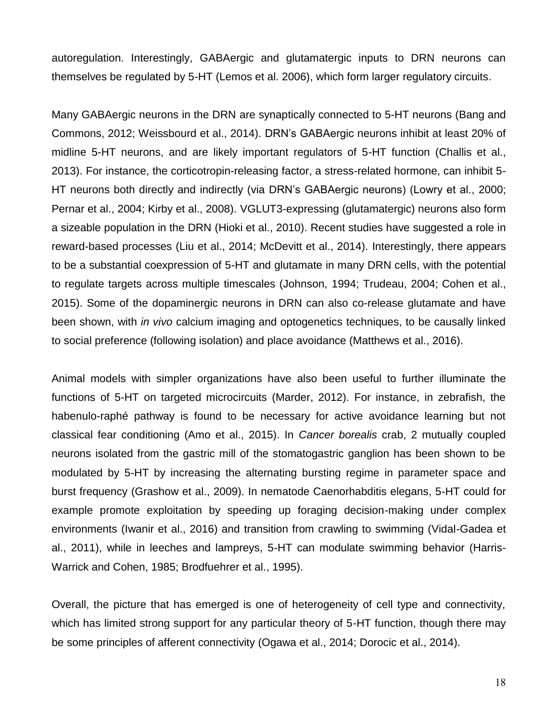autoregulation. Interestingly, GABAergic and glutamatergic inputs to DRN neurons can themselves be regulated by 5-HT (Lemos et al. 2006), which form larger regulatory circuits.

Many GABAergic neurons in the DRN are synaptically connected to 5-HT neurons (Bang and Commons, 2012; Weissbourd et al., 2014). DRN's GABAergic neurons inhibit at least 20% of midline 5-HT neurons, and are likely important regulators of 5-HT function (Challis et al., 2013). For instance, the corticotropin-releasing factor, a stress-related hormone, can inhibit 5- HT neurons both directly and indirectly (via DRN's GABAergic neurons) (Lowry et al., 2000; Pernar et al., 2004; Kirby et al., 2008). VGLUT3-expressing (glutamatergic) neurons also form a sizeable population in the DRN (Hioki et al., 2010). Recent studies have suggested a role in reward-based processes (Liu et al., 2014; McDevitt et al., 2014). Interestingly, there appears to be a substantial coexpression of 5-HT and glutamate in many DRN cells, with the potential to regulate targets across multiple timescales (Johnson, 1994; Trudeau, 2004; Cohen et al., 2015). Some of the dopaminergic neurons in DRN can also co-release glutamate and have been shown, with *in vivo* calcium imaging and optogenetics techniques, to be causally linked to social preference (following isolation) and place avoidance (Matthews et al., 2016).

Animal models with simpler organizations have also been useful to further illuminate the functions of 5-HT on targeted microcircuits (Marder, 2012). For instance, in zebrafish, the habenulo-raphé pathway is found to be necessary for active avoidance learning but not classical fear conditioning (Amo et al., 2015). In *Cancer borealis* crab, 2 mutually coupled neurons isolated from the gastric mill of the stomatogastric ganglion has been shown to be modulated by 5-HT by increasing the alternating bursting regime in parameter space and burst frequency (Grashow et al., 2009). In nematode Caenorhabditis elegans, 5-HT could for example promote exploitation by speeding up foraging decision-making under complex environments (Iwanir et al., 2016) and transition from crawling to swimming (Vidal-Gadea et al., 2011), while in leeches and lampreys, 5-HT can modulate swimming behavior (Harris-Warrick and Cohen, 1985; Brodfuehrer et al., 1995).

Overall, the picture that has emerged is one of heterogeneity of cell type and connectivity, which has limited strong support for any particular theory of 5-HT function, though there may be some principles of afferent connectivity (Ogawa et al., 2014; Dorocic et al., 2014).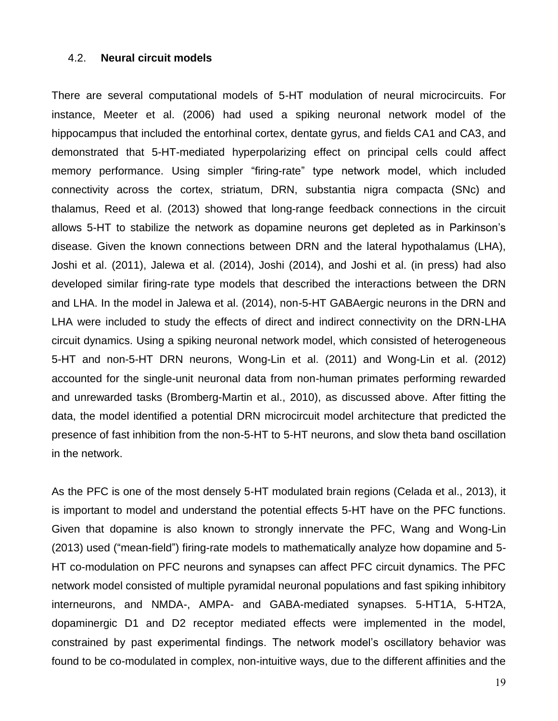#### 4.2. **Neural circuit models**

There are several computational models of 5-HT modulation of neural microcircuits. For instance, Meeter et al. (2006) had used a spiking neuronal network model of the hippocampus that included the entorhinal cortex, dentate gyrus, and fields CA1 and CA3, and demonstrated that 5-HT-mediated hyperpolarizing effect on principal cells could affect memory performance. Using simpler "firing-rate" type network model, which included connectivity across the cortex, striatum, DRN, substantia nigra compacta (SNc) and thalamus, Reed et al. (2013) showed that long-range feedback connections in the circuit allows 5-HT to stabilize the network as dopamine neurons get depleted as in Parkinson's disease. Given the known connections between DRN and the lateral hypothalamus (LHA), Joshi et al. (2011), Jalewa et al. (2014), Joshi (2014), and Joshi et al. (in press) had also developed similar firing-rate type models that described the interactions between the DRN and LHA. In the model in Jalewa et al. (2014), non-5-HT GABAergic neurons in the DRN and LHA were included to study the effects of direct and indirect connectivity on the DRN-LHA circuit dynamics. Using a spiking neuronal network model, which consisted of heterogeneous 5-HT and non-5-HT DRN neurons, Wong-Lin et al. (2011) and Wong-Lin et al. (2012) accounted for the single-unit neuronal data from non-human primates performing rewarded and unrewarded tasks (Bromberg-Martin et al., 2010), as discussed above. After fitting the data, the model identified a potential DRN microcircuit model architecture that predicted the presence of fast inhibition from the non-5-HT to 5-HT neurons, and slow theta band oscillation in the network.

As the PFC is one of the most densely 5-HT modulated brain regions (Celada et al., 2013), it is important to model and understand the potential effects 5-HT have on the PFC functions. Given that dopamine is also known to strongly innervate the PFC, Wang and Wong-Lin (2013) used ("mean-field") firing-rate models to mathematically analyze how dopamine and 5- HT co-modulation on PFC neurons and synapses can affect PFC circuit dynamics. The PFC network model consisted of multiple pyramidal neuronal populations and fast spiking inhibitory interneurons, and NMDA-, AMPA- and GABA-mediated synapses. 5-HT1A, 5-HT2A, dopaminergic D1 and D2 receptor mediated effects were implemented in the model, constrained by past experimental findings. The network model's oscillatory behavior was found to be co-modulated in complex, non-intuitive ways, due to the different affinities and the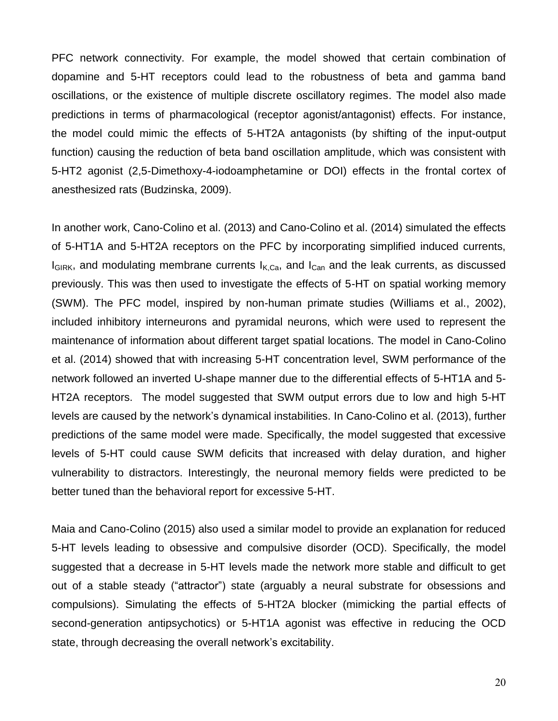PFC network connectivity. For example, the model showed that certain combination of dopamine and 5-HT receptors could lead to the robustness of beta and gamma band oscillations, or the existence of multiple discrete oscillatory regimes. The model also made predictions in terms of pharmacological (receptor agonist/antagonist) effects. For instance, the model could mimic the effects of 5-HT2A antagonists (by shifting of the input-output function) causing the reduction of beta band oscillation amplitude, which was consistent with 5-HT2 agonist (2,5-Dimethoxy-4-iodoamphetamine or DOI) effects in the frontal cortex of anesthesized rats (Budzinska, 2009).

In another work, Cano-Colino et al. (2013) and Cano-Colino et al. (2014) simulated the effects of 5-HT1A and 5-HT2A receptors on the PFC by incorporating simplified induced currents,  $I_{GIRK}$ , and modulating membrane currents  $I_{K,Ca}$ , and  $I_{Can}$  and the leak currents, as discussed previously. This was then used to investigate the effects of 5-HT on spatial working memory (SWM). The PFC model, inspired by non-human primate studies (Williams et al., 2002), included inhibitory interneurons and pyramidal neurons, which were used to represent the maintenance of information about different target spatial locations. The model in Cano-Colino et al. (2014) showed that with increasing 5-HT concentration level, SWM performance of the network followed an inverted U-shape manner due to the differential effects of 5-HT1A and 5- HT2A receptors. The model suggested that SWM output errors due to low and high 5-HT levels are caused by the network's dynamical instabilities. In Cano-Colino et al. (2013), further predictions of the same model were made. Specifically, the model suggested that excessive levels of 5-HT could cause SWM deficits that increased with delay duration, and higher vulnerability to distractors. Interestingly, the neuronal memory fields were predicted to be better tuned than the behavioral report for excessive 5-HT.

Maia and Cano-Colino (2015) also used a similar model to provide an explanation for reduced 5-HT levels leading to obsessive and compulsive disorder (OCD). Specifically, the model suggested that a decrease in 5-HT levels made the network more stable and difficult to get out of a stable steady ("attractor") state (arguably a neural substrate for obsessions and compulsions). Simulating the effects of 5-HT2A blocker (mimicking the partial effects of second-generation antipsychotics) or 5-HT1A agonist was effective in reducing the OCD state, through decreasing the overall network's excitability.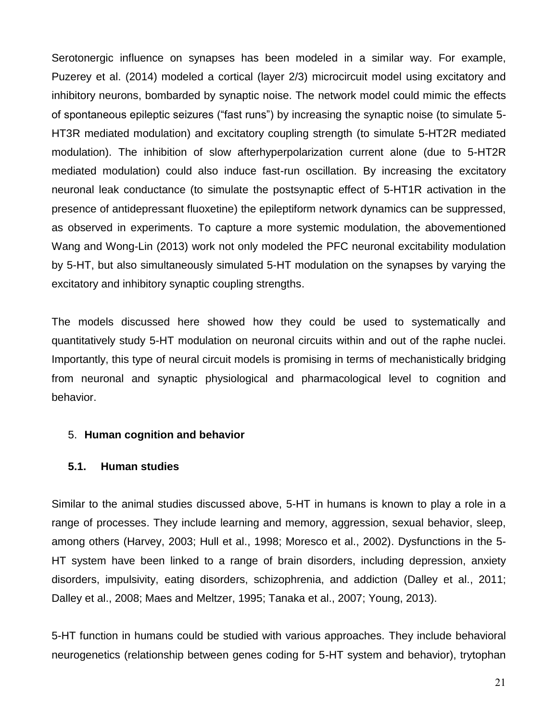Serotonergic influence on synapses has been modeled in a similar way. For example, Puzerey et al. (2014) modeled a cortical (layer 2/3) microcircuit model using excitatory and inhibitory neurons, bombarded by synaptic noise. The network model could mimic the effects of spontaneous epileptic seizures ("fast runs") by increasing the synaptic noise (to simulate 5- HT3R mediated modulation) and excitatory coupling strength (to simulate 5-HT2R mediated modulation). The inhibition of slow afterhyperpolarization current alone (due to 5-HT2R mediated modulation) could also induce fast-run oscillation. By increasing the excitatory neuronal leak conductance (to simulate the postsynaptic effect of 5-HT1R activation in the presence of antidepressant fluoxetine) the epileptiform network dynamics can be suppressed, as observed in experiments. To capture a more systemic modulation, the abovementioned Wang and Wong-Lin (2013) work not only modeled the PFC neuronal excitability modulation by 5-HT, but also simultaneously simulated 5-HT modulation on the synapses by varying the excitatory and inhibitory synaptic coupling strengths.

The models discussed here showed how they could be used to systematically and quantitatively study 5-HT modulation on neuronal circuits within and out of the raphe nuclei. Importantly, this type of neural circuit models is promising in terms of mechanistically bridging from neuronal and synaptic physiological and pharmacological level to cognition and behavior.

## 5. **Human cognition and behavior**

## **5.1. Human studies**

Similar to the animal studies discussed above, 5-HT in humans is known to play a role in a range of processes. They include learning and memory, aggression, sexual behavior, sleep, among others (Harvey, 2003; Hull et al., 1998; Moresco et al., 2002). Dysfunctions in the 5- HT system have been linked to a range of brain disorders, including depression, anxiety disorders, impulsivity, eating disorders, schizophrenia, and addiction (Dalley et al., 2011; Dalley et al., 2008; Maes and Meltzer, 1995; Tanaka et al., 2007; Young, 2013).

5-HT function in humans could be studied with various approaches. They include behavioral neurogenetics (relationship between genes coding for 5-HT system and behavior), trytophan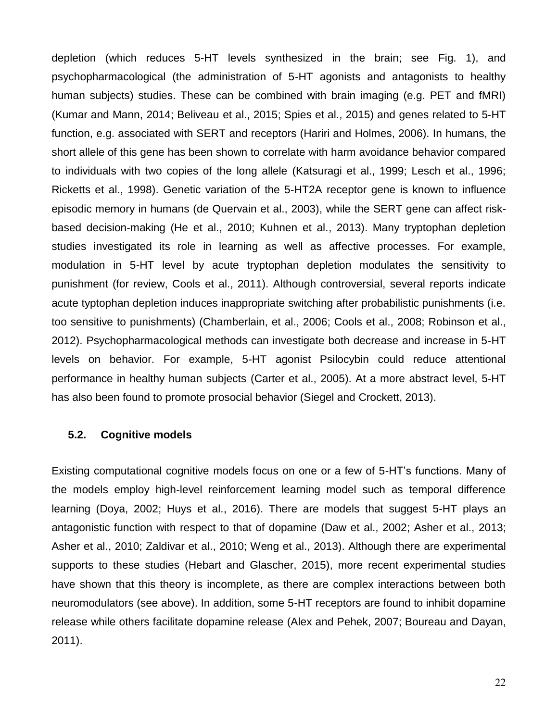depletion (which reduces 5-HT levels synthesized in the brain; see Fig. 1), and psychopharmacological (the administration of 5-HT agonists and antagonists to healthy human subjects) studies. These can be combined with brain imaging (e.g. PET and fMRI) (Kumar and Mann, 2014; Beliveau et al., 2015; Spies et al., 2015) and genes related to 5-HT function, e.g. associated with SERT and receptors (Hariri and Holmes, 2006). In humans, the short allele of this gene has been shown to correlate with harm avoidance behavior compared to individuals with two copies of the long allele (Katsuragi et al., 1999; Lesch et al., 1996; Ricketts et al., 1998). Genetic variation of the 5-HT2A receptor gene is known to influence episodic memory in humans (de Quervain et al., 2003), while the SERT gene can affect riskbased decision-making (He et al., 2010; Kuhnen et al., 2013). Many tryptophan depletion studies investigated its role in learning as well as affective processes. For example, modulation in 5-HT level by acute tryptophan depletion modulates the sensitivity to punishment (for review, Cools et al., 2011). Although controversial, several reports indicate acute typtophan depletion induces inappropriate switching after probabilistic punishments (i.e. too sensitive to punishments) (Chamberlain, et al., 2006; Cools et al., 2008; Robinson et al., 2012). Psychopharmacological methods can investigate both decrease and increase in 5-HT levels on behavior. For example, 5-HT agonist Psilocybin could reduce attentional performance in healthy human subjects (Carter et al., 2005). At a more abstract level, 5-HT has also been found to promote prosocial behavior (Siegel and Crockett, 2013).

#### **5.2. Cognitive models**

Existing computational cognitive models focus on one or a few of 5-HT's functions. Many of the models employ high-level reinforcement learning model such as temporal difference learning (Doya, 2002; Huys et al., 2016). There are models that suggest 5-HT plays an antagonistic function with respect to that of dopamine (Daw et al., 2002; Asher et al., 2013; Asher et al., 2010; Zaldivar et al., 2010; Weng et al., 2013). Although there are experimental supports to these studies (Hebart and Glascher, 2015), more recent experimental studies have shown that this theory is incomplete, as there are complex interactions between both neuromodulators (see above). In addition, some 5-HT receptors are found to inhibit dopamine release while others facilitate dopamine release (Alex and Pehek, 2007; Boureau and Dayan, 2011).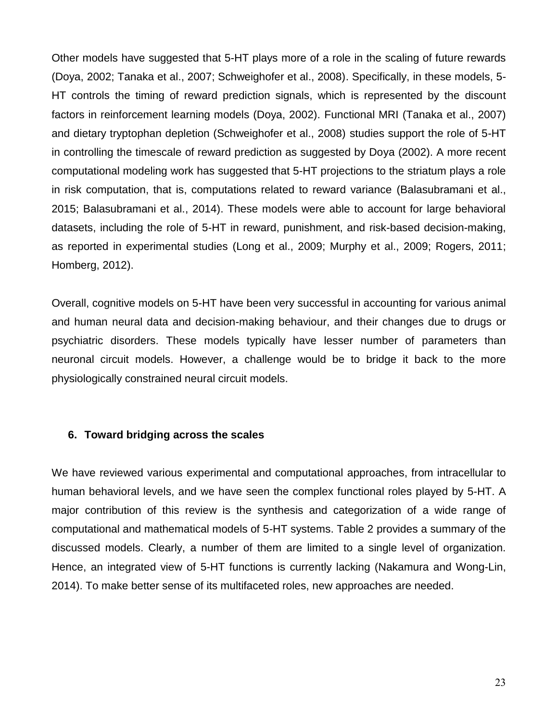Other models have suggested that 5-HT plays more of a role in the scaling of future rewards (Doya, 2002; Tanaka et al., 2007; Schweighofer et al., 2008). Specifically, in these models, 5- HT controls the timing of reward prediction signals, which is represented by the discount factors in reinforcement learning models (Doya, 2002). Functional MRI (Tanaka et al., 2007) and dietary tryptophan depletion (Schweighofer et al., 2008) studies support the role of 5-HT in controlling the timescale of reward prediction as suggested by Doya (2002). A more recent computational modeling work has suggested that 5-HT projections to the striatum plays a role in risk computation, that is, computations related to reward variance (Balasubramani et al., 2015; Balasubramani et al., 2014). These models were able to account for large behavioral datasets, including the role of 5-HT in reward, punishment, and risk-based decision-making, as reported in experimental studies (Long et al., 2009; Murphy et al., 2009; Rogers, 2011; Homberg, 2012).

Overall, cognitive models on 5-HT have been very successful in accounting for various animal and human neural data and decision-making behaviour, and their changes due to drugs or psychiatric disorders. These models typically have lesser number of parameters than neuronal circuit models. However, a challenge would be to bridge it back to the more physiologically constrained neural circuit models.

## **6. Toward bridging across the scales**

We have reviewed various experimental and computational approaches, from intracellular to human behavioral levels, and we have seen the complex functional roles played by 5-HT. A major contribution of this review is the synthesis and categorization of a wide range of computational and mathematical models of 5-HT systems. Table 2 provides a summary of the discussed models. Clearly, a number of them are limited to a single level of organization. Hence, an integrated view of 5-HT functions is currently lacking (Nakamura and Wong-Lin, 2014). To make better sense of its multifaceted roles, new approaches are needed.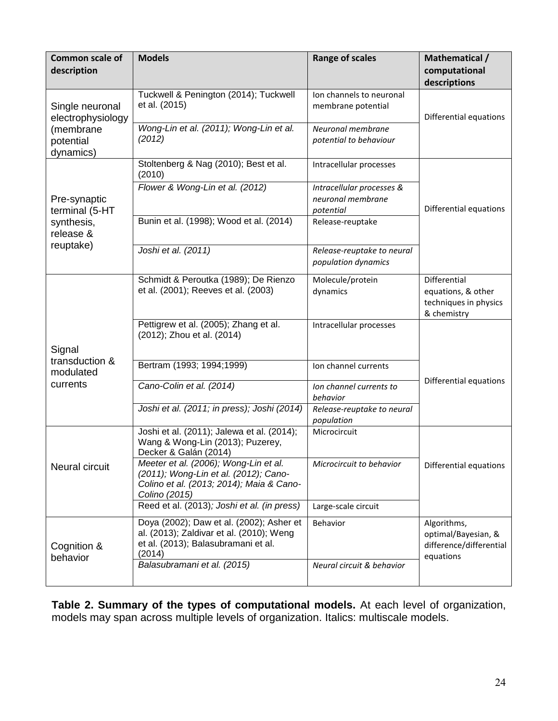| <b>Common scale of</b><br>description | <b>Models</b>                                                                                                                               | <b>Range of scales</b>                                      | Mathematical /<br>computational<br>descriptions                            |  |
|---------------------------------------|---------------------------------------------------------------------------------------------------------------------------------------------|-------------------------------------------------------------|----------------------------------------------------------------------------|--|
| Single neuronal<br>electrophysiology  | Tuckwell & Penington (2014); Tuckwell<br>et al. (2015)                                                                                      | Ion channels to neuronal<br>membrane potential              | Differential equations                                                     |  |
| (membrane<br>potential<br>dynamics)   | Wong-Lin et al. (2011); Wong-Lin et al.<br>(2012)                                                                                           | Neuronal membrane<br>potential to behaviour                 |                                                                            |  |
|                                       | Stoltenberg & Nag (2010); Best et al.<br>(2010)                                                                                             | Intracellular processes                                     |                                                                            |  |
| Pre-synaptic<br>terminal (5-HT        | Flower & Wong-Lin et al. (2012)                                                                                                             | Intracellular processes &<br>neuronal membrane<br>potential | Differential equations                                                     |  |
| synthesis,<br>release &               | Bunin et al. (1998); Wood et al. (2014)                                                                                                     | Release-reuptake                                            |                                                                            |  |
| reuptake)                             | Joshi et al. (2011)                                                                                                                         | Release-reuptake to neural<br>population dynamics           |                                                                            |  |
|                                       | Schmidt & Peroutka (1989); De Rienzo<br>et al. (2001); Reeves et al. (2003)                                                                 | Molecule/protein<br>dynamics                                | Differential<br>equations, & other<br>techniques in physics<br>& chemistry |  |
|                                       | Pettigrew et al. (2005); Zhang et al.<br>(2012); Zhou et al. (2014)                                                                         | Intracellular processes                                     |                                                                            |  |
| Signal                                |                                                                                                                                             |                                                             |                                                                            |  |
| transduction &<br>modulated           | Bertram (1993; 1994;1999)                                                                                                                   | Ion channel currents                                        | Differential equations                                                     |  |
| currents                              | Cano-Colin et al. (2014)                                                                                                                    | Ion channel currents to<br>behavior                         |                                                                            |  |
|                                       | Joshi et al. (2011; in press); Joshi (2014)                                                                                                 | Release-reuptake to neural<br>population                    |                                                                            |  |
|                                       | Joshi et al. (2011); Jalewa et al. (2014);<br>Wang & Wong-Lin (2013); Puzerey,<br>Decker & Galán (2014)                                     | Microcircuit                                                |                                                                            |  |
| Neural circuit                        | Meeter et al. (2006); Wong-Lin et al.<br>(2011); Wong-Lin et al. (2012); Cano-<br>Colino et al. (2013; 2014); Maia & Cano-<br>Colino (2015) | Microcircuit to behavior                                    | Differential equations                                                     |  |
|                                       | Reed et al. (2013); Joshi et al. (in press)                                                                                                 | Large-scale circuit                                         |                                                                            |  |
| Cognition &<br>behavior               | Doya (2002); Daw et al. (2002); Asher et<br>al. (2013); Zaldivar et al. (2010); Weng<br>et al. (2013); Balasubramani et al.<br>(2014)       | Behavior                                                    | Algorithms,<br>optimal/Bayesian, &<br>difference/differential<br>equations |  |
|                                       | Balasubramani et al. (2015)                                                                                                                 | Neural circuit & behavior                                   |                                                                            |  |

**Table 2. Summary of the types of computational models.** At each level of organization, models may span across multiple levels of organization. Italics: multiscale models.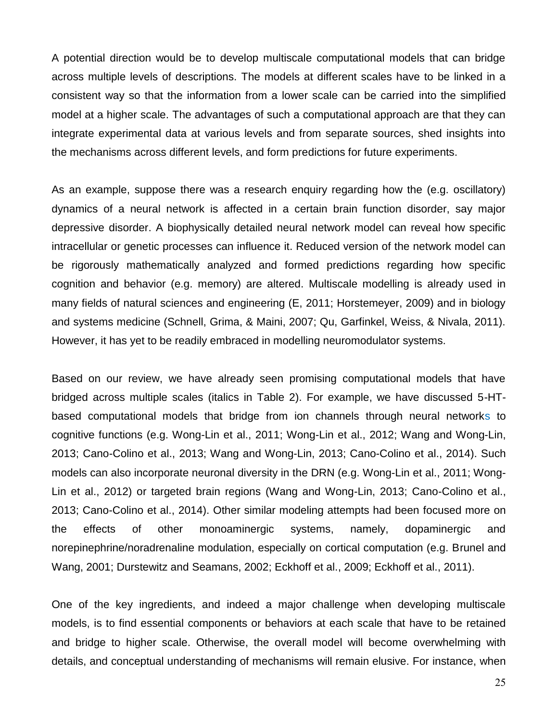A potential direction would be to develop multiscale computational models that can bridge across multiple levels of descriptions. The models at different scales have to be linked in a consistent way so that the information from a lower scale can be carried into the simplified model at a higher scale. The advantages of such a computational approach are that they can integrate experimental data at various levels and from separate sources, shed insights into the mechanisms across different levels, and form predictions for future experiments.

As an example, suppose there was a research enquiry regarding how the (e.g. oscillatory) dynamics of a neural network is affected in a certain brain function disorder, say major depressive disorder. A biophysically detailed neural network model can reveal how specific intracellular or genetic processes can influence it. Reduced version of the network model can be rigorously mathematically analyzed and formed predictions regarding how specific cognition and behavior (e.g. memory) are altered. Multiscale modelling is already used in many fields of natural sciences and engineering (E, 2011; Horstemeyer, 2009) and in biology and systems medicine (Schnell, Grima, & Maini, 2007; Qu, Garfinkel, Weiss, & Nivala, 2011). However, it has yet to be readily embraced in modelling neuromodulator systems.

Based on our review, we have already seen promising computational models that have bridged across multiple scales (italics in Table 2). For example, we have discussed 5-HTbased computational models that bridge from ion channels through neural networks to cognitive functions (e.g. Wong-Lin et al., 2011; Wong-Lin et al., 2012; Wang and Wong-Lin, 2013; Cano-Colino et al., 2013; Wang and Wong-Lin, 2013; Cano-Colino et al., 2014). Such models can also incorporate neuronal diversity in the DRN (e.g. Wong-Lin et al., 2011; Wong-Lin et al., 2012) or targeted brain regions (Wang and Wong-Lin, 2013; Cano-Colino et al., 2013; Cano-Colino et al., 2014). Other similar modeling attempts had been focused more on the effects of other monoaminergic systems, namely, dopaminergic and norepinephrine/noradrenaline modulation, especially on cortical computation (e.g. Brunel and Wang, 2001; Durstewitz and Seamans, 2002; Eckhoff et al., 2009; Eckhoff et al., 2011).

One of the key ingredients, and indeed a major challenge when developing multiscale models, is to find essential components or behaviors at each scale that have to be retained and bridge to higher scale. Otherwise, the overall model will become overwhelming with details, and conceptual understanding of mechanisms will remain elusive. For instance, when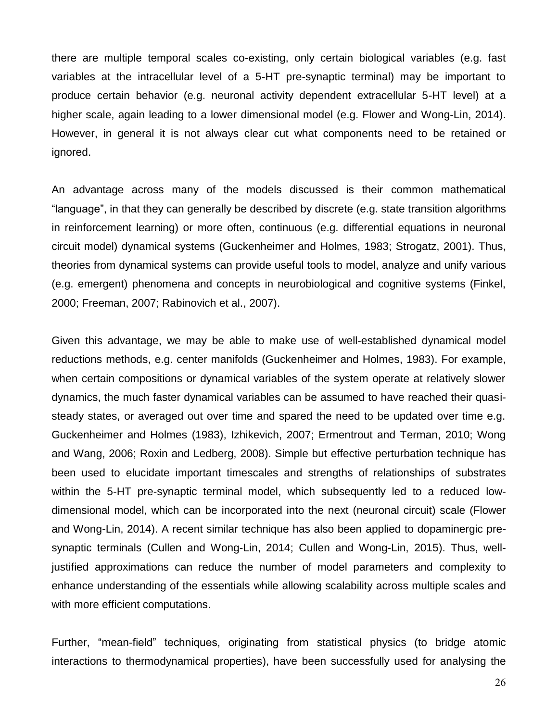there are multiple temporal scales co-existing, only certain biological variables (e.g. fast variables at the intracellular level of a 5-HT pre-synaptic terminal) may be important to produce certain behavior (e.g. neuronal activity dependent extracellular 5-HT level) at a higher scale, again leading to a lower dimensional model (e.g. Flower and Wong-Lin, 2014). However, in general it is not always clear cut what components need to be retained or ignored.

An advantage across many of the models discussed is their common mathematical "language", in that they can generally be described by discrete (e.g. state transition algorithms in reinforcement learning) or more often, continuous (e.g. differential equations in neuronal circuit model) dynamical systems (Guckenheimer and Holmes, 1983; Strogatz, 2001). Thus, theories from dynamical systems can provide useful tools to model, analyze and unify various (e.g. emergent) phenomena and concepts in neurobiological and cognitive systems (Finkel, 2000; Freeman, 2007; Rabinovich et al., 2007).

Given this advantage, we may be able to make use of well-established dynamical model reductions methods, e.g. center manifolds (Guckenheimer and Holmes, 1983). For example, when certain compositions or dynamical variables of the system operate at relatively slower dynamics, the much faster dynamical variables can be assumed to have reached their quasisteady states, or averaged out over time and spared the need to be updated over time e.g. Guckenheimer and Holmes (1983), Izhikevich, 2007; Ermentrout and Terman, 2010; Wong and Wang, 2006; Roxin and Ledberg, 2008). Simple but effective perturbation technique has been used to elucidate important timescales and strengths of relationships of substrates within the 5-HT pre-synaptic terminal model, which subsequently led to a reduced lowdimensional model, which can be incorporated into the next (neuronal circuit) scale (Flower and Wong-Lin, 2014). A recent similar technique has also been applied to dopaminergic presynaptic terminals (Cullen and Wong-Lin, 2014; Cullen and Wong-Lin, 2015). Thus, welljustified approximations can reduce the number of model parameters and complexity to enhance understanding of the essentials while allowing scalability across multiple scales and with more efficient computations.

Further, "mean-field" techniques, originating from statistical physics (to bridge atomic interactions to thermodynamical properties), have been successfully used for analysing the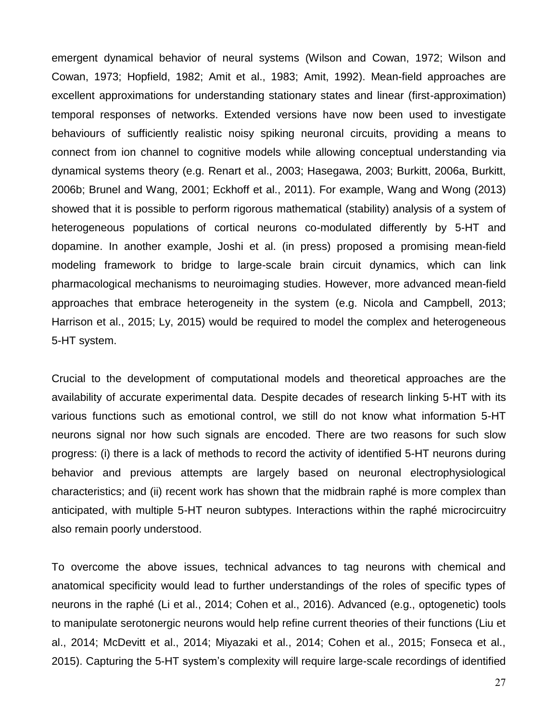emergent dynamical behavior of neural systems (Wilson and Cowan, 1972; Wilson and Cowan, 1973; Hopfield, 1982; Amit et al., 1983; Amit, 1992). Mean-field approaches are excellent approximations for understanding stationary states and linear (first-approximation) temporal responses of networks. Extended versions have now been used to investigate behaviours of sufficiently realistic noisy spiking neuronal circuits, providing a means to connect from ion channel to cognitive models while allowing conceptual understanding via dynamical systems theory (e.g. Renart et al., 2003; Hasegawa, 2003; Burkitt, 2006a, Burkitt, 2006b; Brunel and Wang, 2001; Eckhoff et al., 2011). For example, Wang and Wong (2013) showed that it is possible to perform rigorous mathematical (stability) analysis of a system of heterogeneous populations of cortical neurons co-modulated differently by 5-HT and dopamine. In another example, Joshi et al. (in press) proposed a promising mean-field modeling framework to bridge to large-scale brain circuit dynamics, which can link pharmacological mechanisms to neuroimaging studies. However, more advanced mean-field approaches that embrace heterogeneity in the system (e.g. Nicola and Campbell, 2013; Harrison et al., 2015; Ly, 2015) would be required to model the complex and heterogeneous 5-HT system.

Crucial to the development of computational models and theoretical approaches are the availability of accurate experimental data. Despite decades of research linking 5-HT with its various functions such as emotional control, we still do not know what information 5-HT neurons signal nor how such signals are encoded. There are two reasons for such slow progress: (i) there is a lack of methods to record the activity of identified 5-HT neurons during behavior and previous attempts are largely based on neuronal electrophysiological characteristics; and (ii) recent work has shown that the midbrain raphé is more complex than anticipated, with multiple 5-HT neuron subtypes. Interactions within the raphé microcircuitry also remain poorly understood.

To overcome the above issues, technical advances to tag neurons with chemical and anatomical specificity would lead to further understandings of the roles of specific types of neurons in the raphé (Li et al., 2014; Cohen et al., 2016). Advanced (e.g., optogenetic) tools to manipulate serotonergic neurons would help refine current theories of their functions (Liu et al., 2014; McDevitt et al., 2014; Miyazaki et al., 2014; Cohen et al., 2015; Fonseca et al., 2015). Capturing the 5-HT system's complexity will require large-scale recordings of identified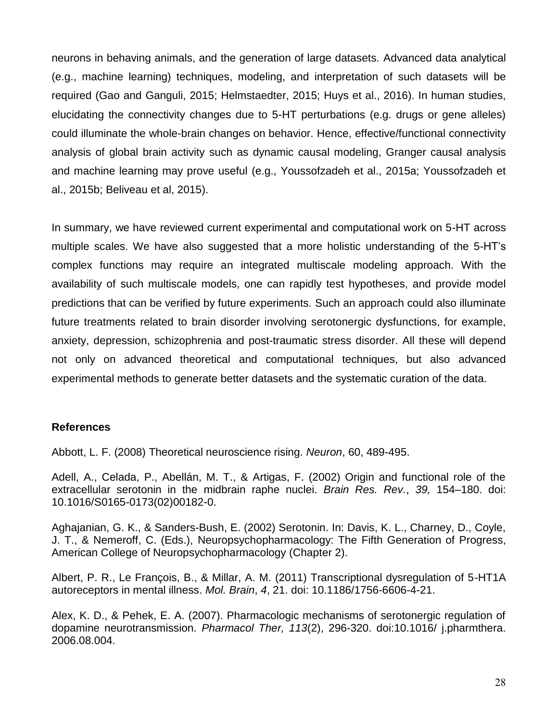neurons in behaving animals, and the generation of large datasets. Advanced data analytical (e.g., machine learning) techniques, modeling, and interpretation of such datasets will be required (Gao and Ganguli, 2015; Helmstaedter, 2015; Huys et al., 2016). In human studies, elucidating the connectivity changes due to 5-HT perturbations (e.g. drugs or gene alleles) could illuminate the whole-brain changes on behavior. Hence, effective/functional connectivity analysis of global brain activity such as dynamic causal modeling, Granger causal analysis and machine learning may prove useful (e.g., Youssofzadeh et al., 2015a; Youssofzadeh et al., 2015b; Beliveau et al, 2015).

In summary, we have reviewed current experimental and computational work on 5-HT across multiple scales. We have also suggested that a more holistic understanding of the 5-HT's complex functions may require an integrated multiscale modeling approach. With the availability of such multiscale models, one can rapidly test hypotheses, and provide model predictions that can be verified by future experiments. Such an approach could also illuminate future treatments related to brain disorder involving serotonergic dysfunctions, for example, anxiety, depression, schizophrenia and post-traumatic stress disorder. All these will depend not only on advanced theoretical and computational techniques, but also advanced experimental methods to generate better datasets and the systematic curation of the data.

#### **References**

Abbott, L. F. (2008) Theoretical neuroscience rising. *Neuron*, 60, 489-495.

Adell, A., Celada, P., Abellán, M. T., & Artigas, F. (2002) Origin and functional role of the extracellular serotonin in the midbrain raphe nuclei. *Brain Res. Rev.*, *39,* 154–180. doi: 10.1016/S0165-0173(02)00182-0.

Aghajanian, G. K., & Sanders-Bush, E. (2002) Serotonin. In: Davis, K. L., Charney, D., Coyle, J. T., & Nemeroff, C. (Eds.), Neuropsychopharmacology: The Fifth Generation of Progress, American College of Neuropsychopharmacology (Chapter 2).

Albert, P. R., Le François, B., & Millar, A. M. (2011) Transcriptional dysregulation of 5-HT1A autoreceptors in mental illness. *Mol. Brain*, *4*, 21. doi: 10.1186/1756-6606-4-21.

Alex, K. D., & Pehek, E. A. (2007). Pharmacologic mechanisms of serotonergic regulation of dopamine neurotransmission. *Pharmacol Ther, 113*(2), 296-320. doi:10.1016/ j.pharmthera. 2006.08.004.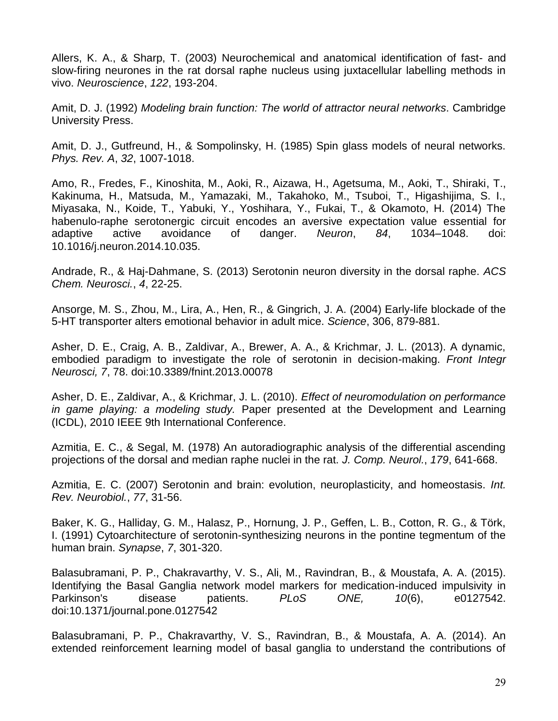Allers, K. A., & Sharp, T. (2003) Neurochemical and anatomical identification of fast- and slow-firing neurones in the rat dorsal raphe nucleus using juxtacellular labelling methods in vivo. *Neuroscience*, *122*, 193-204.

Amit, D. J. (1992) *Modeling brain function: The world of attractor neural networks*. Cambridge University Press.

Amit, D. J., Gutfreund, H., & Sompolinsky, H. (1985) Spin glass models of neural networks. *Phys. Rev. A*, *32*, 1007-1018.

Amo, R., Fredes, F., Kinoshita, M., Aoki, R., Aizawa, H., Agetsuma, M., Aoki, T., Shiraki, T., Kakinuma, H., Matsuda, M., Yamazaki, M., Takahoko, M., Tsuboi, T., Higashijima, S. I., Miyasaka, N., Koide, T., Yabuki, Y., Yoshihara, Y., Fukai, T., & Okamoto, H. (2014) The habenulo-raphe serotonergic circuit encodes an aversive expectation value essential for adaptive active avoidance of danger. *Neuron*, *84*, 1034–1048. doi: 10.1016/j.neuron.2014.10.035.

Andrade, R., & Haj-Dahmane, S. (2013) Serotonin neuron diversity in the dorsal raphe. *ACS Chem. Neurosci.*, *4*, 22-25.

Ansorge, M. S., Zhou, M., Lira, A., Hen, R., & Gingrich, J. A. (2004) Early-life blockade of the 5-HT transporter alters emotional behavior in adult mice. *Science*, 306, 879-881.

Asher, D. E., Craig, A. B., Zaldivar, A., Brewer, A. A., & Krichmar, J. L. (2013). A dynamic, embodied paradigm to investigate the role of serotonin in decision-making. *Front Integr Neurosci, 7*, 78. doi:10.3389/fnint.2013.00078

Asher, D. E., Zaldivar, A., & Krichmar, J. L. (2010). *Effect of neuromodulation on performance in game playing: a modeling study.* Paper presented at the Development and Learning (ICDL), 2010 IEEE 9th International Conference.

Azmitia, E. C., & Segal, M. (1978) An autoradiographic analysis of the differential ascending projections of the dorsal and median raphe nuclei in the rat. *J. Comp. Neurol.*, *179*, 641-668.

Azmitia, E. C. (2007) Serotonin and brain: evolution, neuroplasticity, and homeostasis. *Int. Rev. Neurobiol.*, *77*, 31-56.

Baker, K. G., Halliday, G. M., Halasz, P., Hornung, J. P., Geffen, L. B., Cotton, R. G., & Törk, I. (1991) Cytoarchitecture of serotonin-synthesizing neurons in the pontine tegmentum of the human brain. *Synapse*, *7*, 301-320.

Balasubramani, P. P., Chakravarthy, V. S., Ali, M., Ravindran, B., & Moustafa, A. A. (2015). Identifying the Basal Ganglia network model markers for medication-induced impulsivity in Parkinson's disease patients. *PLoS ONE, 10*(6), e0127542. doi:10.1371/journal.pone.0127542

Balasubramani, P. P., Chakravarthy, V. S., Ravindran, B., & Moustafa, A. A. (2014). An extended reinforcement learning model of basal ganglia to understand the contributions of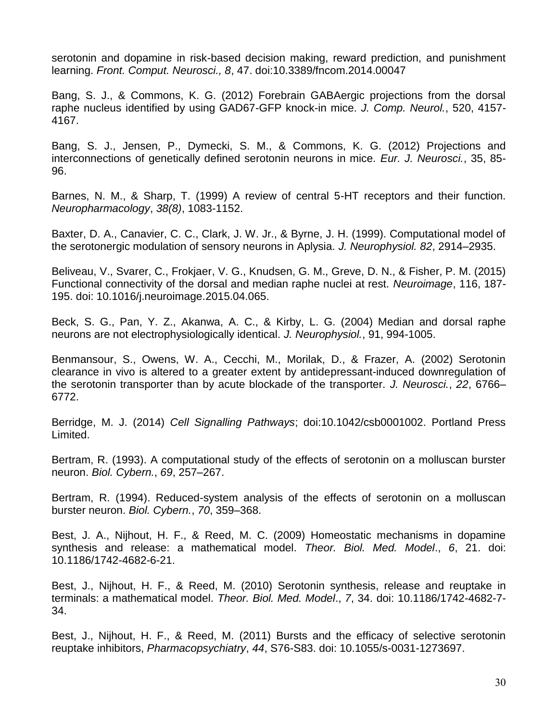serotonin and dopamine in risk-based decision making, reward prediction, and punishment learning. *Front. Comput. Neurosci., 8*, 47. doi:10.3389/fncom.2014.00047

Bang, S. J., & Commons, K. G. (2012) Forebrain GABAergic projections from the dorsal raphe nucleus identified by using GAD67-GFP knock-in mice. *J. Comp. Neurol.*, 520, 4157- 4167.

Bang, S. J., Jensen, P., Dymecki, S. M., & Commons, K. G. (2012) Projections and interconnections of genetically defined serotonin neurons in mice. *Eur. J. Neurosci.*, 35, 85- 96.

Barnes, N. M., & Sharp, T. (1999) A review of central 5-HT receptors and their function. *Neuropharmacology*, *38(8)*, 1083-1152.

Baxter, D. A., Canavier, C. C., Clark, J. W. Jr., & Byrne, J. H. (1999). Computational model of the serotonergic modulation of sensory neurons in Aplysia. *J. Neurophysiol. 82*, 2914–2935.

Beliveau, V., Svarer, C., Frokjaer, V. G., Knudsen, G. M., Greve, D. N., & Fisher, P. M. (2015) Functional connectivity of the dorsal and median raphe nuclei at rest. *Neuroimage*, 116, 187- 195. doi: 10.1016/j.neuroimage.2015.04.065.

Beck, S. G., Pan, Y. Z., Akanwa, A. C., & Kirby, L. G. (2004) Median and dorsal raphe neurons are not electrophysiologically identical. *J. Neurophysiol.*, 91, 994-1005.

Benmansour, S., Owens, W. A., Cecchi, M., Morilak, D., & Frazer, A. (2002) Serotonin clearance in vivo is altered to a greater extent by antidepressant-induced downregulation of the serotonin transporter than by acute blockade of the transporter. *J. Neurosci.*, *22*, 6766– 6772.

Berridge, M. J. (2014) *Cell Signalling Pathways*; doi:10.1042/csb0001002. Portland Press Limited.

Bertram, R. (1993). A computational study of the effects of serotonin on a molluscan burster neuron. *Biol. Cybern.*, *69*, 257–267.

Bertram, R. (1994). Reduced-system analysis of the effects of serotonin on a molluscan burster neuron. *Biol. Cybern.*, *70*, 359–368.

Best, J. A., Nijhout, H. F., & Reed, M. C. (2009) Homeostatic mechanisms in dopamine synthesis and release: a mathematical model. *Theor. Biol. Med. Model*., *6*, 21. doi: 10.1186/1742-4682-6-21.

Best, J., Nijhout, H. F., & Reed, M. (2010) Serotonin synthesis, release and reuptake in terminals: a mathematical model. *Theor. Biol. Med. Model*., *7*, 34. doi: 10.1186/1742-4682-7- 34.

Best, J., Nijhout, H. F., & Reed, M. (2011) Bursts and the efficacy of selective serotonin reuptake inhibitors, *Pharmacopsychiatry*, *44*, S76-S83. doi: 10.1055/s-0031-1273697.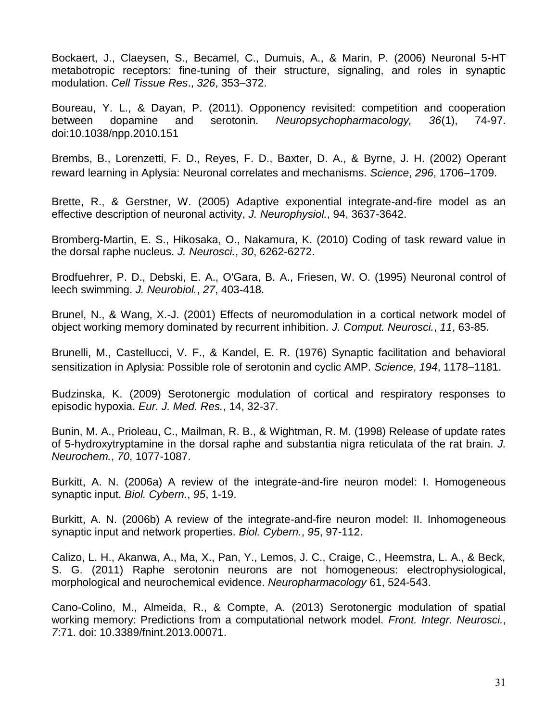Bockaert, J., Claeysen, S., Becamel, C., Dumuis, A., & Marin, P. (2006) Neuronal 5-HT metabotropic receptors: fine-tuning of their structure, signaling, and roles in synaptic modulation. *Cell Tissue Res*., *326*, 353–372.

Boureau, Y. L., & Dayan, P. (2011). Opponency revisited: competition and cooperation between dopamine and serotonin. *Neuropsychopharmacology, 36*(1), 74-97. doi:10.1038/npp.2010.151

Brembs, B., Lorenzetti, F. D., Reyes, F. D., Baxter, D. A., & Byrne, J. H. (2002) Operant reward learning in Aplysia: Neuronal correlates and mechanisms. *Science*, *296*, 1706–1709.

Brette, R., & Gerstner, W. (2005) Adaptive exponential integrate-and-fire model as an effective description of neuronal activity, *J. Neurophysiol.*, 94, 3637-3642.

Bromberg-Martin, E. S., Hikosaka, O., Nakamura, K. (2010) Coding of task reward value in the dorsal raphe nucleus. *J. Neurosci.*, *30*, 6262-6272.

Brodfuehrer, P. D., Debski, E. A., O'Gara, B. A., Friesen, W. O. (1995) Neuronal control of leech swimming. *J. Neurobiol.*, *27*, 403-418.

Brunel, N., & Wang, X.-J. (2001) Effects of neuromodulation in a cortical network model of object working memory dominated by recurrent inhibition. *J. Comput. Neurosci.*, *11*, 63-85.

Brunelli, M., Castellucci, V. F., & Kandel, E. R. (1976) Synaptic facilitation and behavioral sensitization in Aplysia: Possible role of serotonin and cyclic AMP. *Science*, *194*, 1178–1181.

Budzinska, K. (2009) Serotonergic modulation of cortical and respiratory responses to episodic hypoxia. *Eur. J. Med. Res.*, 14, 32-37.

Bunin, M. A., Prioleau, C., Mailman, R. B., & Wightman, R. M. (1998) Release of update rates of 5-hydroxytryptamine in the dorsal raphe and substantia nigra reticulata of the rat brain. *J. Neurochem.*, *70*, 1077-1087.

Burkitt, A. N. (2006a) A review of the integrate-and-fire neuron model: I. Homogeneous synaptic input. *Biol. Cybern.*, *95*, 1-19.

Burkitt, A. N. (2006b) A review of the integrate-and-fire neuron model: II. Inhomogeneous synaptic input and network properties. *Biol. Cybern.*, *95*, 97-112.

Calizo, L. H., Akanwa, A., Ma, X., Pan, Y., Lemos, J. C., Craige, C., Heemstra, L. A., & Beck, S. G. (2011) Raphe serotonin neurons are not homogeneous: electrophysiological, morphological and neurochemical evidence. *Neuropharmacology* 61, 524-543.

Cano-Colino, M., Almeida, R., & Compte, A. (2013) Serotonergic modulation of spatial working memory: Predictions from a computational network model. *Front. Integr. Neurosci.*, *7*:71. doi: 10.3389/fnint.2013.00071.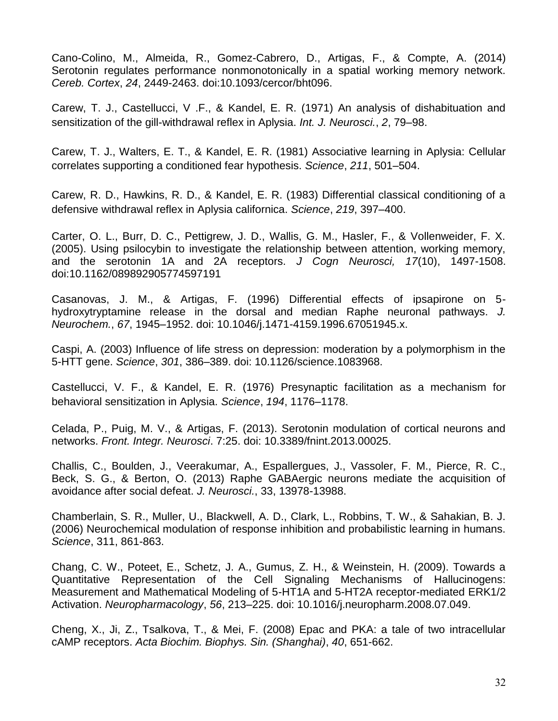Cano-Colino, M., Almeida, R., Gomez-Cabrero, D., Artigas, F., & Compte, A. (2014) Serotonin regulates performance nonmonotonically in a spatial working memory network. *Cereb. Cortex*, *24*, 2449-2463. doi:10.1093/cercor/bht096.

Carew, T. J., Castellucci, V .F., & Kandel, E. R. (1971) An analysis of dishabituation and sensitization of the gill-withdrawal reflex in Aplysia. *Int. J. Neurosci.*, *2*, 79–98.

Carew, T. J., Walters, E. T., & Kandel, E. R. (1981) Associative learning in Aplysia: Cellular correlates supporting a conditioned fear hypothesis. *Science*, *211*, 501–504.

Carew, R. D., Hawkins, R. D., & Kandel, E. R. (1983) Differential classical conditioning of a defensive withdrawal reflex in Aplysia californica. *Science*, *219*, 397–400.

Carter, O. L., Burr, D. C., Pettigrew, J. D., Wallis, G. M., Hasler, F., & Vollenweider, F. X. (2005). Using psilocybin to investigate the relationship between attention, working memory, and the serotonin 1A and 2A receptors. *J Cogn Neurosci, 17*(10), 1497-1508. doi:10.1162/089892905774597191

Casanovas, J. M., & Artigas, F. (1996) Differential effects of ipsapirone on 5 hydroxytryptamine release in the dorsal and median Raphe neuronal pathways. *J. Neurochem.*, *67*, 1945–1952. doi: 10.1046/j.1471-4159.1996.67051945.x.

Caspi, A. (2003) Influence of life stress on depression: moderation by a polymorphism in the 5-HTT gene. *Science*, *301*, 386–389. doi: 10.1126/science.1083968.

Castellucci, V. F., & Kandel, E. R. (1976) Presynaptic facilitation as a mechanism for behavioral sensitization in Aplysia. *Science*, *194*, 1176–1178.

Celada, P., Puig, M. V., & Artigas, F. (2013). Serotonin modulation of cortical neurons and networks. *Front. Integr. Neurosci*. 7:25. doi: 10.3389/fnint.2013.00025.

Challis, C., Boulden, J., Veerakumar, A., Espallergues, J., Vassoler, F. M., Pierce, R. C., Beck, S. G., & Berton, O. (2013) Raphe GABAergic neurons mediate the acquisition of avoidance after social defeat. *J. Neurosci.*, 33, 13978-13988.

Chamberlain, S. R., Muller, U., Blackwell, A. D., Clark, L., Robbins, T. W., & Sahakian, B. J. (2006) Neurochemical modulation of response inhibition and probabilistic learning in humans. *Science*, 311, 861-863.

Chang, C. W., Poteet, E., Schetz, J. A., Gumus, Z. H., & Weinstein, H. (2009). Towards a Quantitative Representation of the Cell Signaling Mechanisms of Hallucinogens: Measurement and Mathematical Modeling of 5-HT1A and 5-HT2A receptor-mediated ERK1/2 Activation. *Neuropharmacology*, *56*, 213–225. doi: 10.1016/j.neuropharm.2008.07.049.

Cheng, X., Ji, Z., Tsalkova, T., & Mei, F. (2008) Epac and PKA: a tale of two intracellular cAMP receptors. *Acta Biochim. Biophys. Sin. (Shanghai)*, *40*, 651-662.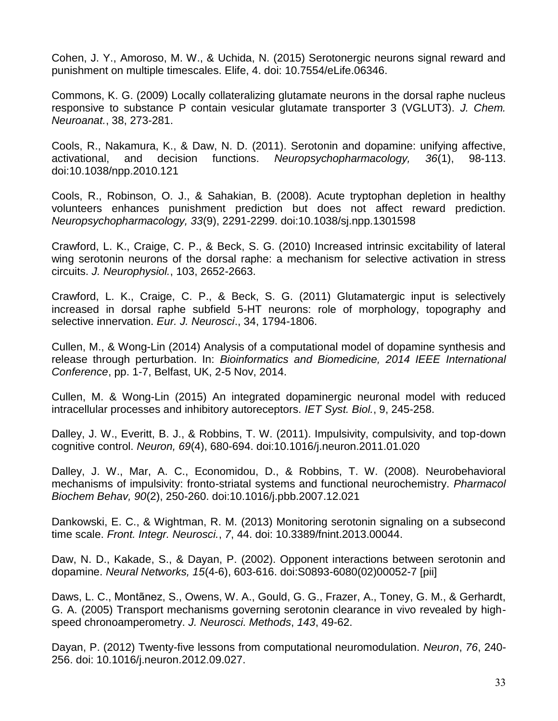Cohen, J. Y., Amoroso, M. W., & Uchida, N. (2015) Serotonergic neurons signal reward and punishment on multiple timescales. Elife, 4. doi: 10.7554/eLife.06346.

Commons, K. G. (2009) Locally collateralizing glutamate neurons in the dorsal raphe nucleus responsive to substance P contain vesicular glutamate transporter 3 (VGLUT3). *J. Chem. Neuroanat.*, 38, 273-281.

Cools, R., Nakamura, K., & Daw, N. D. (2011). Serotonin and dopamine: unifying affective, activational, and decision functions. *Neuropsychopharmacology, 36*(1), 98-113. doi:10.1038/npp.2010.121

Cools, R., Robinson, O. J., & Sahakian, B. (2008). Acute tryptophan depletion in healthy volunteers enhances punishment prediction but does not affect reward prediction. *Neuropsychopharmacology, 33*(9), 2291-2299. doi:10.1038/sj.npp.1301598

Crawford, L. K., Craige, C. P., & Beck, S. G. (2010) Increased intrinsic excitability of lateral wing serotonin neurons of the dorsal raphe: a mechanism for selective activation in stress circuits. *J. Neurophysiol.*, 103, 2652-2663.

Crawford, L. K., Craige, C. P., & Beck, S. G. (2011) Glutamatergic input is selectively increased in dorsal raphe subfield 5-HT neurons: role of morphology, topography and selective innervation. *Eur. J. Neurosci*., 34, 1794-1806.

Cullen, M., & Wong-Lin (2014) Analysis of a computational model of dopamine synthesis and release through perturbation. In: *Bioinformatics and Biomedicine, 2014 IEEE International Conference*, pp. 1-7, Belfast, UK, 2-5 Nov, 2014.

Cullen, M. & Wong-Lin (2015) An integrated dopaminergic neuronal model with reduced intracellular processes and inhibitory autoreceptors. *IET Syst. Biol.*, 9, 245-258.

Dalley, J. W., Everitt, B. J., & Robbins, T. W. (2011). Impulsivity, compulsivity, and top-down cognitive control. *Neuron, 69*(4), 680-694. doi:10.1016/j.neuron.2011.01.020

Dalley, J. W., Mar, A. C., Economidou, D., & Robbins, T. W. (2008). Neurobehavioral mechanisms of impulsivity: fronto-striatal systems and functional neurochemistry. *Pharmacol Biochem Behav, 90*(2), 250-260. doi:10.1016/j.pbb.2007.12.021

Dankowski, E. C., & Wightman, R. M. (2013) Monitoring serotonin signaling on a subsecond time scale. *Front. Integr. Neurosci.*, *7*, 44. doi: 10.3389/fnint.2013.00044.

Daw, N. D., Kakade, S., & Dayan, P. (2002). Opponent interactions between serotonin and dopamine. *Neural Networks, 15*(4-6), 603-616. doi:S0893-6080(02)00052-7 [pii]

Daws, L. C., Montãnez, S., Owens, W. A., Gould, G. G., Frazer, A., Toney, G. M., & Gerhardt, G. A. (2005) Transport mechanisms governing serotonin clearance in vivo revealed by highspeed chronoamperometry. *J. Neurosci. Methods*, *143*, 49-62.

Dayan, P. (2012) Twenty-five lessons from computational neuromodulation. *Neuron*, *76*, 240- 256. doi: 10.1016/j.neuron.2012.09.027.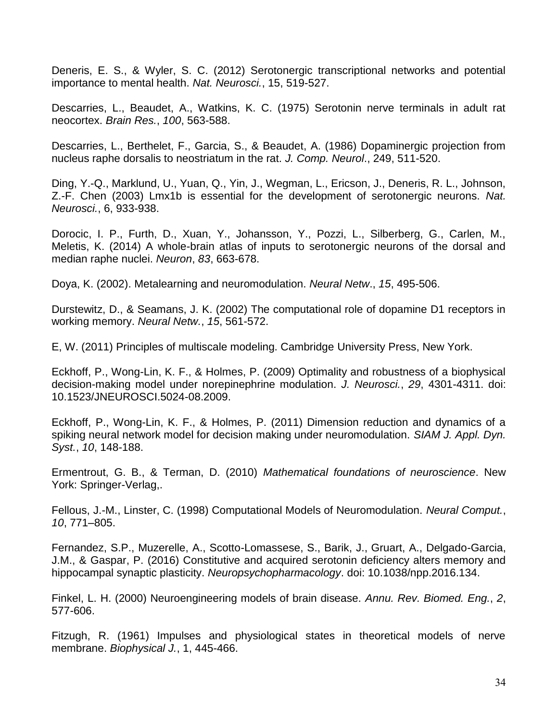Deneris, E. S., & Wyler, S. C. (2012) Serotonergic transcriptional networks and potential importance to mental health. *Nat. Neurosci.*, 15, 519-527.

Descarries, L., Beaudet, A., Watkins, K. C. (1975) Serotonin nerve terminals in adult rat neocortex. *Brain Res.*, *100*, 563-588.

Descarries, L., Berthelet, F., Garcia, S., & Beaudet, A. (1986) Dopaminergic projection from nucleus raphe dorsalis to neostriatum in the rat. *J. Comp. Neurol*., 249, 511-520.

Ding, Y.-Q., Marklund, U., Yuan, Q., Yin, J., Wegman, L., Ericson, J., Deneris, R. L., Johnson, Z.-F. Chen (2003) Lmx1b is essential for the development of serotonergic neurons. *Nat. Neurosci.*, 6, 933-938.

Dorocic, I. P., Furth, D., Xuan, Y., Johansson, Y., Pozzi, L., Silberberg, G., Carlen, M., Meletis, K. (2014) A whole-brain atlas of inputs to serotonergic neurons of the dorsal and median raphe nuclei. *Neuron*, *83*, 663-678.

Doya, K. (2002). Metalearning and neuromodulation. *Neural Netw*., *15*, 495-506.

Durstewitz, D., & Seamans, J. K. (2002) The computational role of dopamine D1 receptors in working memory. *Neural Netw.*, *15*, 561-572.

E, W. (2011) Principles of multiscale modeling. Cambridge University Press, New York.

Eckhoff, P., Wong-Lin, K. F., & Holmes, P. (2009) Optimality and robustness of a biophysical decision-making model under norepinephrine modulation. *J. Neurosci.*, *29*, 4301-4311. doi: 10.1523/JNEUROSCI.5024-08.2009.

Eckhoff, P., Wong-Lin, K. F., & Holmes, P. (2011) Dimension reduction and dynamics of a spiking neural network model for decision making under neuromodulation. *SIAM J. Appl. Dyn. Syst.*, *10*, 148-188.

Ermentrout, G. B., & Terman, D. (2010) *Mathematical foundations of neuroscience*. New York: Springer-Verlag,.

Fellous, J.-M., Linster, C. (1998) Computational Models of Neuromodulation. *Neural Comput.*, *10*, 771–805.

Fernandez, S.P., Muzerelle, A., Scotto-Lomassese, S., Barik, J., Gruart, A., Delgado-Garcia, J.M., & Gaspar, P. (2016) Constitutive and acquired serotonin deficiency alters memory and hippocampal synaptic plasticity. *Neuropsychopharmacology*. doi: 10.1038/npp.2016.134.

Finkel, L. H. (2000) Neuroengineering models of brain disease. *Annu. Rev. Biomed. Eng.*, *2*, 577-606.

Fitzugh, R. (1961) Impulses and physiological states in theoretical models of nerve membrane. *Biophysical J.*, 1, 445-466.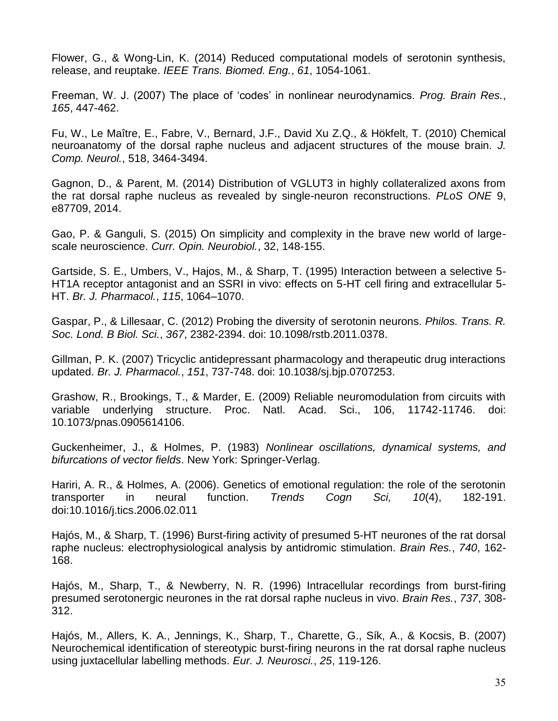Flower, G., & Wong-Lin, K. (2014) Reduced computational models of serotonin synthesis, release, and reuptake. *IEEE Trans. Biomed. Eng.*, *61*, 1054-1061.

Freeman, W. J. (2007) The place of 'codes' in nonlinear neurodynamics. *Prog. Brain Res.*, *165*, 447-462.

Fu, W., Le Maître, E., Fabre, V., Bernard, J.F., David Xu Z.Q., & Hökfelt, T. (2010) Chemical neuroanatomy of the dorsal raphe nucleus and adjacent structures of the mouse brain. *J. Comp. Neurol.*, 518, 3464-3494.

Gagnon, D., & Parent, M. (2014) Distribution of VGLUT3 in highly collateralized axons from the rat dorsal raphe nucleus as revealed by single-neuron reconstructions. *PLoS ONE* 9, e87709, 2014.

Gao, P. & Ganguli, S. (2015) On simplicity and complexity in the brave new world of largescale neuroscience. *Curr. Opin. Neurobiol.*, 32, 148-155.

Gartside, S. E., Umbers, V., Hajos, M., & Sharp, T. (1995) Interaction between a selective 5- HT1A receptor antagonist and an SSRI in vivo: effects on 5-HT cell firing and extracellular 5- HT. *Br. J. Pharmacol.*, *115*, 1064–1070.

Gaspar, P., & Lillesaar, C. (2012) Probing the diversity of serotonin neurons. *Philos. Trans. R. Soc. Lond. B Biol. Sci.*, *367*, 2382-2394. doi: 10.1098/rstb.2011.0378.

Gillman, P. K. (2007) Tricyclic antidepressant pharmacology and therapeutic drug interactions updated. *Br. J. Pharmacol.*, *151*, 737-748. doi: 10.1038/sj.bjp.0707253.

Grashow, R., Brookings, T., & Marder, E. (2009) Reliable neuromodulation from circuits with variable underlying structure. Proc. Natl. Acad. Sci., 106, 11742-11746. doi: 10.1073/pnas.0905614106.

Guckenheimer, J., & Holmes, P. (1983) *Nonlinear oscillations, dynamical systems, and bifurcations of vector fields*. New York: Springer-Verlag.

Hariri, A. R., & Holmes, A. (2006). Genetics of emotional regulation: the role of the serotonin transporter in neural function. *Trends Cogn Sci, 10*(4), 182-191. doi:10.1016/j.tics.2006.02.011

Hajós, M., & Sharp, T. (1996) Burst-firing activity of presumed 5-HT neurones of the rat dorsal raphe nucleus: electrophysiological analysis by antidromic stimulation. *Brain Res.*, *740*, 162- 168.

Hajós, M., Sharp, T., & Newberry, N. R. (1996) Intracellular recordings from burst-firing presumed serotonergic neurones in the rat dorsal raphe nucleus in vivo. *Brain Res.*, *737*, 308- 312.

Hajós, M., Allers, K. A., Jennings, K., Sharp, T., Charette, G., Sík, A., & Kocsis, B. (2007) Neurochemical identification of stereotypic burst-firing neurons in the rat dorsal raphe nucleus using juxtacellular labelling methods. *Eur. J. Neurosci.*, *25*, 119-126.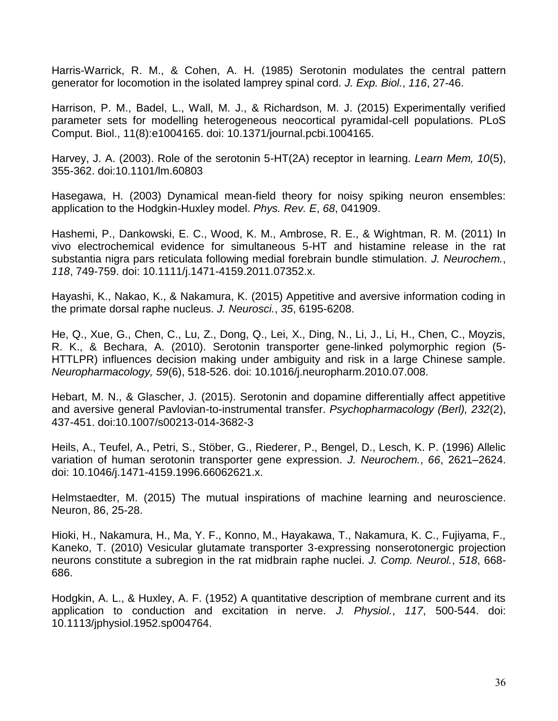Harris-Warrick, R. M., & Cohen, A. H. (1985) Serotonin modulates the central pattern generator for locomotion in the isolated lamprey spinal cord. *J. Exp. Biol.*, *116*, 27-46.

Harrison, P. M., Badel, L., Wall, M. J., & Richardson, M. J. (2015) Experimentally verified parameter sets for modelling heterogeneous neocortical pyramidal-cell populations. PLoS Comput. Biol., 11(8):e1004165. doi: 10.1371/journal.pcbi.1004165.

Harvey, J. A. (2003). Role of the serotonin 5-HT(2A) receptor in learning. *Learn Mem, 10*(5), 355-362. doi:10.1101/lm.60803

Hasegawa, H. (2003) Dynamical mean-field theory for noisy spiking neuron ensembles: application to the Hodgkin-Huxley model. *Phys. Rev. E*, *68*, 041909.

Hashemi, P., Dankowski, E. C., Wood, K. M., Ambrose, R. E., & Wightman, R. M. (2011) In vivo electrochemical evidence for simultaneous 5-HT and histamine release in the rat substantia nigra pars reticulata following medial forebrain bundle stimulation. *J. Neurochem.*, *118*, 749-759. doi: 10.1111/j.1471-4159.2011.07352.x.

Hayashi, K., Nakao, K., & Nakamura, K. (2015) Appetitive and aversive information coding in the primate dorsal raphe nucleus. *J. Neurosci.*, *35*, 6195-6208.

He, Q., Xue, G., Chen, C., Lu, Z., Dong, Q., Lei, X., Ding, N., Li, J., Li, H., Chen, C., Moyzis, R. K., & Bechara, A. (2010). Serotonin transporter gene-linked polymorphic region (5- HTTLPR) influences decision making under ambiguity and risk in a large Chinese sample. *Neuropharmacology, 59*(6), 518-526. doi: 10.1016/j.neuropharm.2010.07.008.

Hebart, M. N., & Glascher, J. (2015). Serotonin and dopamine differentially affect appetitive and aversive general Pavlovian-to-instrumental transfer. *Psychopharmacology (Berl), 232*(2), 437-451. doi:10.1007/s00213-014-3682-3

Heils, A., Teufel, A., Petri, S., Stöber, G., Riederer, P., Bengel, D., Lesch, K. P. (1996) Allelic variation of human serotonin transporter gene expression. *J. Neurochem.*, *66*, 2621–2624. doi: 10.1046/j.1471-4159.1996.66062621.x.

Helmstaedter, M. (2015) The mutual inspirations of machine learning and neuroscience. Neuron, 86, 25-28.

Hioki, H., Nakamura, H., Ma, Y. F., Konno, M., Hayakawa, T., Nakamura, K. C., Fujiyama, F., Kaneko, T. (2010) Vesicular glutamate transporter 3-expressing nonserotonergic projection neurons constitute a subregion in the rat midbrain raphe nuclei. *J. Comp. Neurol.*, *518*, 668- 686.

Hodgkin, A. L., & Huxley, A. F. (1952) A quantitative description of membrane current and its application to conduction and excitation in nerve. *J. Physiol.*, *117*, 500-544. doi: 10.1113/jphysiol.1952.sp004764.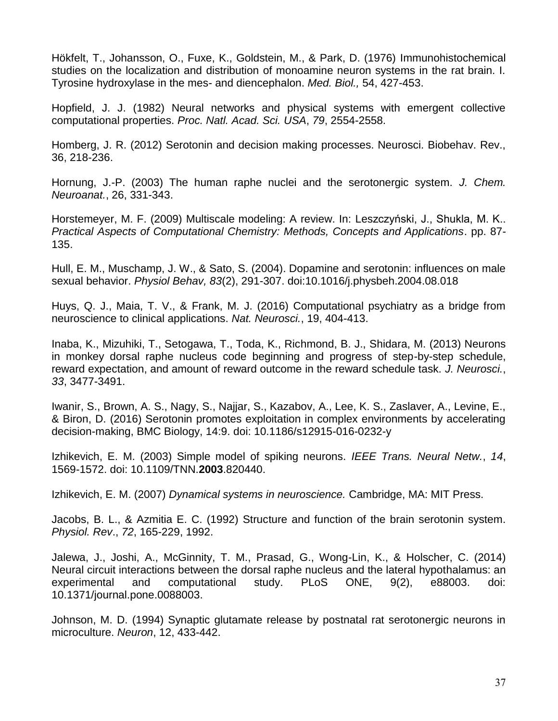Hökfelt, T., Johansson, O., Fuxe, K., Goldstein, M., & Park, D. (1976) Immunohistochemical studies on the localization and distribution of monoamine neuron systems in the rat brain. I. Tyrosine hydroxylase in the mes- and diencephalon. *Med. Biol.,* 54, 427-453.

Hopfield, J. J. (1982) Neural networks and physical systems with emergent collective computational properties. *Proc. Natl. Acad. Sci. USA*, *79*, 2554-2558.

Homberg, J. R. (2012) Serotonin and decision making processes. Neurosci. Biobehav. Rev., 36, 218-236.

Hornung, J.-P. (2003) The human raphe nuclei and the serotonergic system. *J. Chem. Neuroanat.*, 26, 331-343.

Horstemeyer, M. F. (2009) Multiscale modeling: A review. In: Leszczyński, J., Shukla, M. K.. *Practical Aspects of Computational Chemistry: Methods, Concepts and Applications*. pp. 87- 135.

Hull, E. M., Muschamp, J. W., & Sato, S. (2004). Dopamine and serotonin: influences on male sexual behavior. *Physiol Behav, 83*(2), 291-307. doi:10.1016/j.physbeh.2004.08.018

Huys, Q. J., Maia, T. V., & Frank, M. J. (2016) Computational psychiatry as a bridge from neuroscience to clinical applications. *Nat. Neurosci.*, 19, 404-413.

Inaba, K., Mizuhiki, T., Setogawa, T., Toda, K., Richmond, B. J., Shidara, M. (2013) Neurons in monkey dorsal raphe nucleus code beginning and progress of step-by-step schedule, reward expectation, and amount of reward outcome in the reward schedule task. *J. Neurosci.*, *33*, 3477-3491.

Iwanir, S., Brown, A. S., Nagy, S., Najjar, S., Kazabov, A., Lee, K. S., Zaslaver, A., Levine, E., & Biron, D. (2016) Serotonin promotes exploitation in complex environments by accelerating decision-making, BMC Biology, 14:9. doi: 10.1186/s12915-016-0232-y

Izhikevich, E. M. (2003) Simple model of spiking neurons. *IEEE Trans. Neural Netw.*, *14*, 1569-1572. doi: 10.1109/TNN.**2003**.820440.

Izhikevich, E. M. (2007) *Dynamical systems in neuroscience.* Cambridge, MA: MIT Press.

Jacobs, B. L., & Azmitia E. C. (1992) Structure and function of the brain serotonin system. *Physiol. Rev*., *72*, 165-229, 1992.

Jalewa, J., Joshi, A., McGinnity, T. M., Prasad, G., Wong-Lin, K., & Holscher, C. (2014) Neural circuit interactions between the dorsal raphe nucleus and the lateral hypothalamus: an experimental and computational study. PLoS ONE, 9(2), e88003. doi: 10.1371/journal.pone.0088003.

Johnson, M. D. (1994) Synaptic glutamate release by postnatal rat serotonergic neurons in microculture. *Neuron*, 12, 433-442.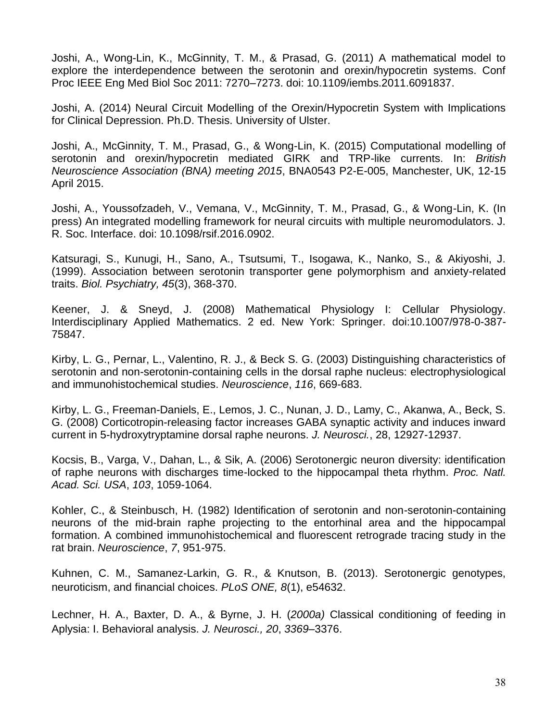Joshi, A., Wong-Lin, K., McGinnity, T. M., & Prasad, G. (2011) A mathematical model to explore the interdependence between the serotonin and orexin/hypocretin systems. Conf Proc IEEE Eng Med Biol Soc 2011: 7270–7273. doi: 10.1109/iembs.2011.6091837.

Joshi, A. (2014) Neural Circuit Modelling of the Orexin/Hypocretin System with Implications for Clinical Depression. Ph.D. Thesis. University of Ulster.

Joshi, A., McGinnity, T. M., Prasad, G., & Wong-Lin, K. (2015) Computational modelling of serotonin and orexin/hypocretin mediated GIRK and TRP-like currents. In: *British Neuroscience Association (BNA) meeting 2015*, BNA0543 P2-E-005, Manchester, UK, 12-15 April 2015.

Joshi, A., Youssofzadeh, V., Vemana, V., McGinnity, T. M., Prasad, G., & Wong-Lin, K. (In press) An integrated modelling framework for neural circuits with multiple neuromodulators. J. R. Soc. Interface. doi: 10.1098/rsif.2016.0902.

Katsuragi, S., Kunugi, H., Sano, A., Tsutsumi, T., Isogawa, K., Nanko, S., & Akiyoshi, J. (1999). Association between serotonin transporter gene polymorphism and anxiety-related traits. *Biol. Psychiatry, 45*(3), 368-370.

Keener, J. & Sneyd, J. (2008) Mathematical Physiology I: Cellular Physiology. Interdisciplinary Applied Mathematics. 2 ed. New York: Springer. doi:10.1007/978-0-387- 75847.

Kirby, L. G., Pernar, L., Valentino, R. J., & Beck S. G. (2003) Distinguishing characteristics of serotonin and non-serotonin-containing cells in the dorsal raphe nucleus: electrophysiological and immunohistochemical studies. *Neuroscience*, *116*, 669-683.

Kirby, L. G., Freeman-Daniels, E., Lemos, J. C., Nunan, J. D., Lamy, C., Akanwa, A., Beck, S. G. (2008) Corticotropin-releasing factor increases GABA synaptic activity and induces inward current in 5-hydroxytryptamine dorsal raphe neurons. *J. Neurosci.*, 28, 12927-12937.

Kocsis, B., Varga, V., Dahan, L., & Sik, A. (2006) Serotonergic neuron diversity: identification of raphe neurons with discharges time-locked to the hippocampal theta rhythm. *Proc. Natl. Acad. Sci. USA*, *103*, 1059-1064.

Kohler, C., & Steinbusch, H. (1982) Identification of serotonin and non-serotonin-containing neurons of the mid-brain raphe projecting to the entorhinal area and the hippocampal formation. A combined immunohistochemical and fluorescent retrograde tracing study in the rat brain. *Neuroscience*, *7*, 951-975.

Kuhnen, C. M., Samanez-Larkin, G. R., & Knutson, B. (2013). Serotonergic genotypes, neuroticism, and financial choices. *PLoS ONE, 8*(1), e54632.

Lechner, H. A., Baxter, D. A., & Byrne, J. H. (*2000a)* Classical conditioning of feeding in Aplysia: I. Behavioral analysis. *J. Neurosci., 20*, *3369*–3376.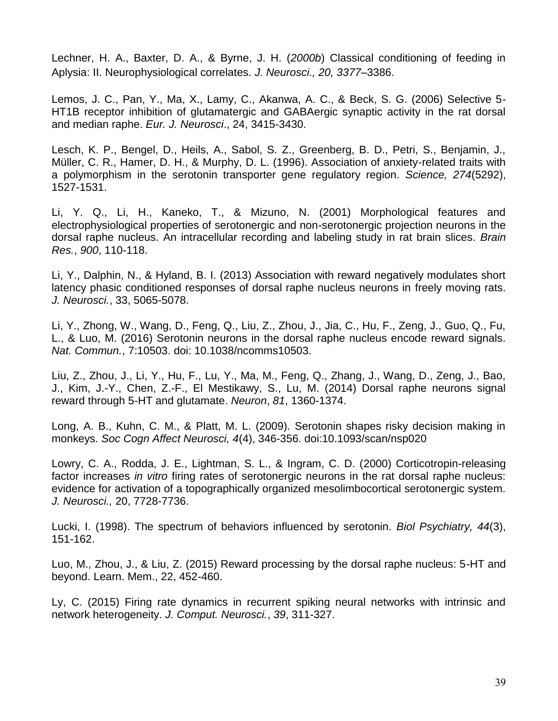Lechner, H. A., Baxter, D. A., & Byrne, J. H. (*2000b*) Classical conditioning of feeding in Aplysia: II. Neurophysiological correlates. *J. Neurosci., 20, 3377*–3386.

Lemos, J. C., Pan, Y., Ma, X., Lamy, C., Akanwa, A. C., & Beck, S. G. (2006) Selective 5- HT1B receptor inhibition of glutamatergic and GABAergic synaptic activity in the rat dorsal and median raphe. *Eur. J. Neurosci*., 24, 3415-3430.

Lesch, K. P., Bengel, D., Heils, A., Sabol, S. Z., Greenberg, B. D., Petri, S., Benjamin, J., Müller, C. R., Hamer, D. H., & Murphy, D. L. (1996). Association of anxiety-related traits with a polymorphism in the serotonin transporter gene regulatory region. *Science, 274*(5292), 1527-1531.

Li, Y. Q., Li, H., Kaneko, T., & Mizuno, N. (2001) Morphological features and electrophysiological properties of serotonergic and non-serotonergic projection neurons in the dorsal raphe nucleus. An intracellular recording and labeling study in rat brain slices. *Brain Res.*, *900*, 110-118.

Li, Y., Dalphin, N., & Hyland, B. I. (2013) Association with reward negatively modulates short latency phasic conditioned responses of dorsal raphe nucleus neurons in freely moving rats. *J. Neurosci.*, 33, 5065-5078.

Li, Y., Zhong, W., Wang, D., Feng, Q., Liu, Z., Zhou, J., Jia, C., Hu, F., Zeng, J., Guo, Q., Fu, L., & Luo, M. (2016) Serotonin neurons in the dorsal raphe nucleus encode reward signals. *Nat. Commun.*, 7:10503. doi: 10.1038/ncomms10503.

Liu, Z., Zhou, J., Li, Y., Hu, F., Lu, Y., Ma, M., Feng, Q., Zhang, J., Wang, D., Zeng, J., Bao, J., Kim, J.-Y., Chen, Z.-F., El Mestikawy, S., Lu, M. (2014) Dorsal raphe neurons signal reward through 5-HT and glutamate. *Neuron*, *81*, 1360-1374.

Long, A. B., Kuhn, C. M., & Platt, M. L. (2009). Serotonin shapes risky decision making in monkeys. *Soc Cogn Affect Neurosci, 4*(4), 346-356. doi:10.1093/scan/nsp020

Lowry, C. A., Rodda, J. E., Lightman, S. L., & Ingram, C. D. (2000) Corticotropin-releasing factor increases *in vitro* firing rates of serotonergic neurons in the rat dorsal raphe nucleus: evidence for activation of a topographically organized mesolimbocortical serotonergic system. *J. Neurosci.,* 20, 7728-7736.

Lucki, I. (1998). The spectrum of behaviors influenced by serotonin. *Biol Psychiatry, 44*(3), 151-162.

Luo, M., Zhou, J., & Liu, Z. (2015) Reward processing by the dorsal raphe nucleus: 5-HT and beyond. Learn. Mem., 22, 452-460.

Ly, C. (2015) Firing rate dynamics in recurrent spiking neural networks with intrinsic and network heterogeneity. *J. Comput. Neurosci.*, *39*, 311-327.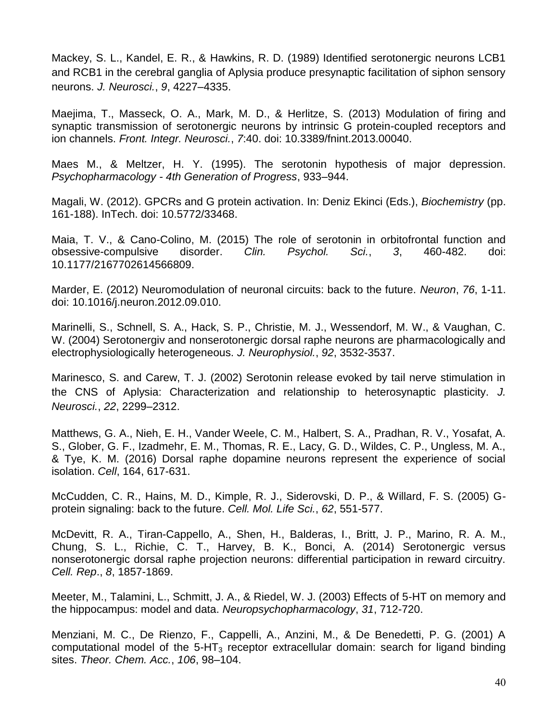Mackey, S. L., Kandel, E. R., & Hawkins, R. D. (1989) Identified serotonergic neurons LCB1 and RCB1 in the cerebral ganglia of Aplysia produce presynaptic facilitation of siphon sensory neurons. *J. Neurosci.*, *9*, 4227–4335.

Maejima, T., Masseck, O. A., Mark, M. D., & Herlitze, S. (2013) Modulation of firing and synaptic transmission of serotonergic neurons by intrinsic G protein-coupled receptors and ion channels. *Front. Integr. Neurosci.*, *7*:40. doi: 10.3389/fnint.2013.00040.

Maes M., & Meltzer, H. Y. (1995). The serotonin hypothesis of major depression. *Psychopharmacology - 4th Generation of Progress*, 933–944.

Magali, W. (2012). GPCRs and G protein activation. In: Deniz Ekinci (Eds.), *Biochemistry* (pp. 161-188). InTech. doi: 10.5772/33468.

Maia, T. V., & Cano-Colino, M. (2015) The role of serotonin in orbitofrontal function and obsessive-compulsive disorder. *Clin. Psychol. Sci.*, *3*, 460-482. doi: 10.1177/2167702614566809.

Marder, E. (2012) Neuromodulation of neuronal circuits: back to the future. *Neuron*, *76*, 1-11. doi: 10.1016/j.neuron.2012.09.010.

Marinelli, S., Schnell, S. A., Hack, S. P., Christie, M. J., Wessendorf, M. W., & Vaughan, C. W. (2004) Serotonergiv and nonserotonergic dorsal raphe neurons are pharmacologically and electrophysiologically heterogeneous. *J. Neurophysiol.*, *92*, 3532-3537.

Marinesco, S. and Carew, T. J. (2002) Serotonin release evoked by tail nerve stimulation in the CNS of Aplysia: Characterization and relationship to heterosynaptic plasticity. *J. Neurosci.*, *22*, 2299–2312.

Matthews, G. A., Nieh, E. H., Vander Weele, C. M., Halbert, S. A., Pradhan, R. V., Yosafat, A. S., Glober, G. F., Izadmehr, E. M., Thomas, R. E., Lacy, G. D., Wildes, C. P., Ungless, M. A., & Tye, K. M. (2016) Dorsal raphe dopamine neurons represent the experience of social isolation. *Cell*, 164, 617-631.

McCudden, C. R., Hains, M. D., Kimple, R. J., Siderovski, D. P., & Willard, F. S. (2005) Gprotein signaling: back to the future. *Cell. Mol. Life Sci.*, *62*, 551-577.

McDevitt, R. A., Tiran-Cappello, A., Shen, H., Balderas, I., Britt, J. P., Marino, R. A. M., Chung, S. L., Richie, C. T., Harvey, B. K., Bonci, A. (2014) Serotonergic versus nonserotonergic dorsal raphe projection neurons: differential participation in reward circuitry. *Cell. Rep*., *8*, 1857-1869.

Meeter, M., Talamini, L., Schmitt, J. A., & Riedel, W. J. (2003) Effects of 5-HT on memory and the hippocampus: model and data. *Neuropsychopharmacology*, *31*, 712-720.

Menziani, M. C., De Rienzo, F., Cappelli, A., Anzini, M., & De Benedetti, P. G. (2001) A computational model of the  $5-HT_3$  receptor extracellular domain: search for ligand binding sites. *Theor. Chem. Acc.*, *106*, 98–104.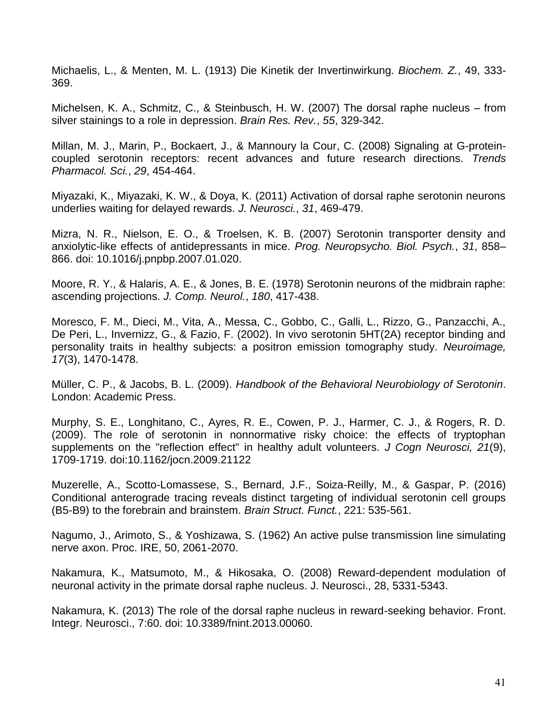Michaelis, L., & Menten, M. L. (1913) Die Kinetik der Invertinwirkung. *Biochem. Z.*, 49, 333- 369.

Michelsen, K. A., Schmitz, C., & Steinbusch, H. W. (2007) The dorsal raphe nucleus – from silver stainings to a role in depression. *Brain Res. Rev.*, *55*, 329-342.

Millan, M. J., Marin, P., Bockaert, J., & Mannoury la Cour, C. (2008) Signaling at G-proteincoupled serotonin receptors: recent advances and future research directions. *Trends Pharmacol. Sci.*, *29*, 454-464.

Miyazaki, K., Miyazaki, K. W., & Doya, K. (2011) Activation of dorsal raphe serotonin neurons underlies waiting for delayed rewards. *J. Neurosci.*, *31*, 469-479.

Mizra, N. R., Nielson, E. O., & Troelsen, K. B. (2007) Serotonin transporter density and anxiolytic-like effects of antidepressants in mice. *Prog. Neuropsycho. Biol. Psych.*, *31*, 858– 866. doi: 10.1016/j.pnpbp.2007.01.020.

Moore, R. Y., & Halaris, A. E., & Jones, B. E. (1978) Serotonin neurons of the midbrain raphe: ascending projections. *J. Comp. Neurol.*, *180*, 417-438.

Moresco, F. M., Dieci, M., Vita, A., Messa, C., Gobbo, C., Galli, L., Rizzo, G., Panzacchi, A., De Peri, L., Invernizz, G., & Fazio, F. (2002). In vivo serotonin 5HT(2A) receptor binding and personality traits in healthy subjects: a positron emission tomography study. *Neuroimage, 17*(3), 1470-1478.

Müller, C. P., & Jacobs, B. L. (2009). *Handbook of the Behavioral Neurobiology of Serotonin*. London: Academic Press.

Murphy, S. E., Longhitano, C., Ayres, R. E., Cowen, P. J., Harmer, C. J., & Rogers, R. D. (2009). The role of serotonin in nonnormative risky choice: the effects of tryptophan supplements on the "reflection effect" in healthy adult volunteers. *J Cogn Neurosci, 21*(9), 1709-1719. doi:10.1162/jocn.2009.21122

Muzerelle, A., Scotto-Lomassese, S., Bernard, J.F., Soiza-Reilly, M., & Gaspar, P. (2016) Conditional anterograde tracing reveals distinct targeting of individual serotonin cell groups (B5-B9) to the forebrain and brainstem. *Brain Struct. Funct.*, 221: 535-561.

Nagumo, J., Arimoto, S., & Yoshizawa, S. (1962) An active pulse transmission line simulating nerve axon. Proc. IRE, 50, 2061-2070.

Nakamura, K., Matsumoto, M., & Hikosaka, O. (2008) Reward-dependent modulation of neuronal activity in the primate dorsal raphe nucleus. J. Neurosci., 28, 5331-5343.

Nakamura, K. (2013) The role of the dorsal raphe nucleus in reward-seeking behavior. Front. Integr. Neurosci., 7:60. doi: 10.3389/fnint.2013.00060.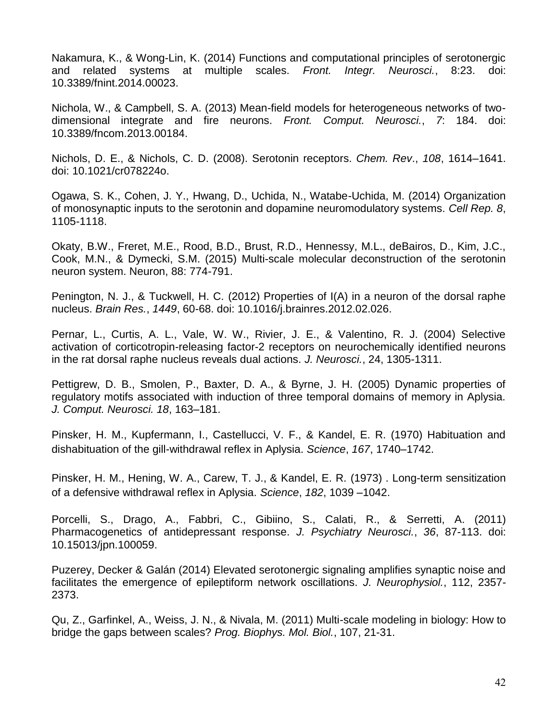Nakamura, K., & Wong-Lin, K. (2014) Functions and computational principles of serotonergic and related systems at multiple scales. *Front. Integr. Neurosci.*, 8:23. doi: 10.3389/fnint.2014.00023.

Nichola, W., & Campbell, S. A. (2013) Mean-field models for heterogeneous networks of twodimensional integrate and fire neurons. *Front. Comput. Neurosci.*, *7*: 184. doi: 10.3389/fncom.2013.00184.

Nichols, D. E., & Nichols, C. D. (2008). Serotonin receptors. *Chem. Rev*., *108*, 1614–1641. doi: 10.1021/cr078224o.

Ogawa, S. K., Cohen, J. Y., Hwang, D., Uchida, N., Watabe-Uchida, M. (2014) Organization of monosynaptic inputs to the serotonin and dopamine neuromodulatory systems. *Cell Rep. 8*, 1105-1118.

Okaty, B.W., Freret, M.E., Rood, B.D., Brust, R.D., Hennessy, M.L., deBairos, D., Kim, J.C., Cook, M.N., & Dymecki, S.M. (2015) Multi-scale molecular deconstruction of the serotonin neuron system. Neuron, 88: 774-791.

Penington, N. J., & Tuckwell, H. C. (2012) Properties of I(A) in a neuron of the dorsal raphe nucleus. *Brain Res.*, *1449*, 60-68. doi: 10.1016/j.brainres.2012.02.026.

Pernar, L., Curtis, A. L., Vale, W. W., Rivier, J. E., & Valentino, R. J. (2004) Selective activation of corticotropin-releasing factor-2 receptors on neurochemically identified neurons in the rat dorsal raphe nucleus reveals dual actions. *J. Neurosci.*, 24, 1305-1311.

Pettigrew, D. B., Smolen, P., Baxter, D. A., & Byrne, J. H. (2005) Dynamic properties of regulatory motifs associated with induction of three temporal domains of memory in Aplysia. *J. Comput. Neurosci. 18*, 163–181.

Pinsker, H. M., Kupfermann, I., Castellucci, V. F., & Kandel, E. R. (1970) Habituation and dishabituation of the gill-withdrawal reflex in Aplysia. *Science*, *167*, 1740–1742.

Pinsker, H. M., Hening, W. A., Carew, T. J., & Kandel, E. R. (1973) . Long-term sensitization of a defensive withdrawal reflex in Aplysia. *Science*, *182*, 1039 –1042.

Porcelli, S., Drago, A., Fabbri, C., Gibiino, S., Calati, R., & Serretti, A. (2011) Pharmacogenetics of antidepressant response. *J. Psychiatry Neurosci.*, *36*, 87-113. doi: 10.15013/jpn.100059.

Puzerey, Decker & Galán (2014) Elevated serotonergic signaling amplifies synaptic noise and facilitates the emergence of epileptiform network oscillations. *J. Neurophysiol.*, 112, 2357- 2373.

Qu, Z., Garfinkel, A., Weiss, J. N., & Nivala, M. (2011) Multi-scale modeling in biology: How to bridge the gaps between scales? *Prog. Biophys. Mol. Biol.*, 107, 21-31.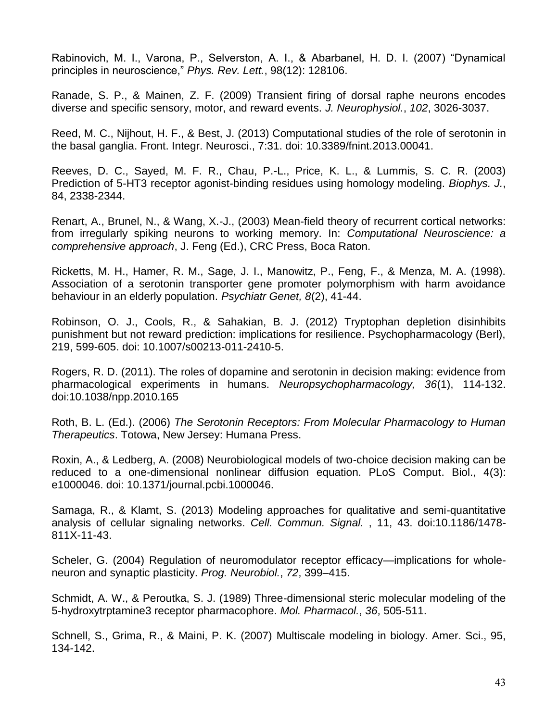Rabinovich, M. I., Varona, P., Selverston, A. I., & Abarbanel, H. D. I. (2007) "Dynamical principles in neuroscience," *Phys. Rev. Lett.*, 98(12): 128106.

Ranade, S. P., & Mainen, Z. F. (2009) Transient firing of dorsal raphe neurons encodes diverse and specific sensory, motor, and reward events. *J. Neurophysiol.*, *102*, 3026-3037.

Reed, M. C., Nijhout, H. F., & Best, J. (2013) Computational studies of the role of serotonin in the basal ganglia. Front. Integr. Neurosci., 7:31. doi: 10.3389/fnint.2013.00041.

Reeves, D. C., Sayed, M. F. R., Chau, P.-L., Price, K. L., & Lummis, S. C. R. (2003) Prediction of 5-HT3 receptor agonist-binding residues using homology modeling. *Biophys. J.*, 84, 2338-2344.

Renart, A., Brunel, N., & Wang, X.-J., (2003) Mean-field theory of recurrent cortical networks: from irregularly spiking neurons to working memory. In: *Computational Neuroscience: a comprehensive approach*, J. Feng (Ed.), CRC Press, Boca Raton.

Ricketts, M. H., Hamer, R. M., Sage, J. I., Manowitz, P., Feng, F., & Menza, M. A. (1998). Association of a serotonin transporter gene promoter polymorphism with harm avoidance behaviour in an elderly population. *Psychiatr Genet, 8*(2), 41-44.

Robinson, O. J., Cools, R., & Sahakian, B. J. (2012) Tryptophan depletion disinhibits punishment but not reward prediction: implications for resilience. Psychopharmacology (Berl), 219, 599-605. doi: 10.1007/s00213-011-2410-5.

Rogers, R. D. (2011). The roles of dopamine and serotonin in decision making: evidence from pharmacological experiments in humans. *Neuropsychopharmacology, 36*(1), 114-132. doi:10.1038/npp.2010.165

Roth, B. L. (Ed.). (2006) *The Serotonin Receptors: From Molecular Pharmacology to Human Therapeutics*. Totowa, New Jersey: Humana Press.

Roxin, A., & Ledberg, A. (2008) Neurobiological models of two-choice decision making can be reduced to a one-dimensional nonlinear diffusion equation. PLoS Comput. Biol., 4(3): e1000046. doi: 10.1371/journal.pcbi.1000046.

Samaga, R., & Klamt, S. (2013) Modeling approaches for qualitative and semi-quantitative analysis of cellular signaling networks. *Cell. Commun. Signal.* , 11, 43. doi:10.1186/1478- 811X-11-43.

Scheler, G. (2004) Regulation of neuromodulator receptor efficacy—implications for wholeneuron and synaptic plasticity. *Prog. Neurobiol.*, *72*, 399–415.

Schmidt, A. W., & Peroutka, S. J. (1989) Three-dimensional steric molecular modeling of the 5-hydroxytrptamine3 receptor pharmacophore. *Mol. Pharmacol.*, *36*, 505-511.

Schnell, S., Grima, R., & Maini, P. K. (2007) Multiscale modeling in biology. Amer. Sci., 95, 134-142.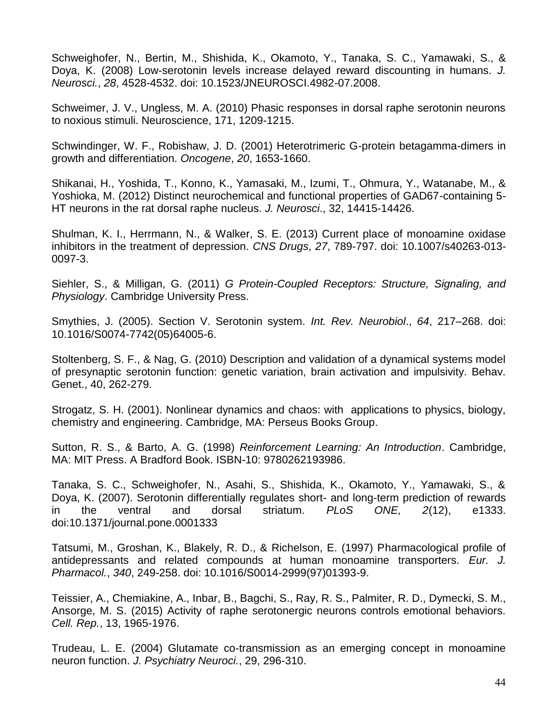Schweighofer, N., Bertin, M., Shishida, K., Okamoto, Y., Tanaka, S. C., Yamawaki, S., & Doya, K. (2008) Low-serotonin levels increase delayed reward discounting in humans. *J. Neurosci.*, *28*, 4528-4532. doi: 10.1523/JNEUROSCI.4982-07.2008.

Schweimer, J. V., Ungless, M. A. (2010) Phasic responses in dorsal raphe serotonin neurons to noxious stimuli. Neuroscience, 171, 1209-1215.

Schwindinger, W. F., Robishaw, J. D. (2001) Heterotrimeric G-protein betagamma-dimers in growth and differentiation. *Oncogene*, *20*, 1653-1660.

Shikanai, H., Yoshida, T., Konno, K., Yamasaki, M., Izumi, T., Ohmura, Y., Watanabe, M., & Yoshioka, M. (2012) Distinct neurochemical and functional properties of GAD67-containing 5- HT neurons in the rat dorsal raphe nucleus. *J. Neurosci*., 32, 14415-14426.

Shulman, K. I., Herrmann, N., & Walker, S. E. (2013) Current place of monoamine oxidase inhibitors in the treatment of depression. *CNS Drugs*, *27*, 789-797. doi: 10.1007/s40263-013- 0097-3.

Siehler, S., & Milligan, G. (2011) *G Protein-Coupled Receptors: Structure, Signaling, and Physiology*. Cambridge University Press.

Smythies, J. (2005). Section V. Serotonin system. *Int. Rev. Neurobiol*., *64*, 217–268. doi: 10.1016/S0074-7742(05)64005-6.

Stoltenberg, S. F., & Nag, G. (2010) Description and validation of a dynamical systems model of presynaptic serotonin function: genetic variation, brain activation and impulsivity. Behav. Genet., 40, 262-279.

Strogatz, S. H. (2001). Nonlinear dynamics and chaos: with applications to physics, biology, chemistry and engineering. Cambridge, MA: Perseus Books Group.

Sutton, R. S., & Barto, A. G. (1998) *Reinforcement Learning: An Introduction*. Cambridge, MA: MIT Press. A Bradford Book. ISBN-10: 9780262193986.

Tanaka, S. C., Schweighofer, N., Asahi, S., Shishida, K., Okamoto, Y., Yamawaki, S., & Doya, K. (2007). Serotonin differentially regulates short- and long-term prediction of rewards in the ventral and dorsal striatum. *PLoS ONE, 2*(12), e1333. doi:10.1371/journal.pone.0001333

Tatsumi, M., Groshan, K., Blakely, R. D., & Richelson, E. (1997) Pharmacological profile of antidepressants and related compounds at human monoamine transporters. *Eur. J. Pharmacol.*, *340*, 249-258. doi: 10.1016/S0014-2999(97)01393-9.

Teissier, A., Chemiakine, A., Inbar, B., Bagchi, S., Ray, R. S., Palmiter, R. D., Dymecki, S. M., Ansorge, M. S. (2015) Activity of raphe serotonergic neurons controls emotional behaviors. *Cell. Rep.*, 13, 1965-1976.

Trudeau, L. E. (2004) Glutamate co-transmission as an emerging concept in monoamine neuron function. *J. Psychiatry Neuroci.*, 29, 296-310.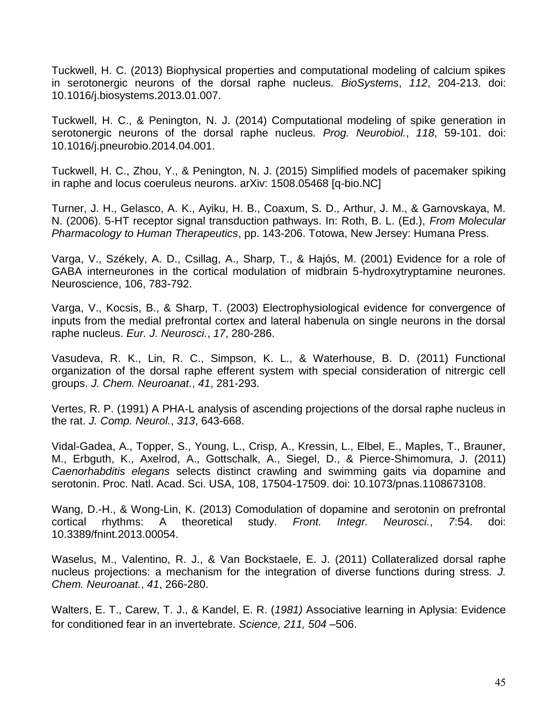Tuckwell, H. C. (2013) Biophysical properties and computational modeling of calcium spikes in serotonergic neurons of the dorsal raphe nucleus. *BioSystems*, *112*, 204-213. doi: 10.1016/j.biosystems.2013.01.007.

Tuckwell, H. C., & Penington, N. J. (2014) Computational modeling of spike generation in serotonergic neurons of the dorsal raphe nucleus. *Prog. Neurobiol.*, *118*, 59-101. doi: 10.1016/j.pneurobio.2014.04.001.

Tuckwell, H. C., Zhou, Y., & Penington, N. J. (2015) Simplified models of pacemaker spiking in raphe and locus coeruleus neurons. arXiv: 1508.05468 [q-bio.NC]

Turner, J. H., Gelasco, A. K., Ayiku, H. B., Coaxum, S. D., Arthur, J. M., & Garnovskaya, M. N. (2006). 5-HT receptor signal transduction pathways. In: Roth, B. L. (Ed.), *From Molecular Pharmacology to Human Therapeutics*, pp. 143-206. Totowa, New Jersey: Humana Press.

Varga, V., Székely, A. D., Csillag, A., Sharp, T., & Hajós, M. (2001) Evidence for a role of GABA interneurones in the cortical modulation of midbrain 5-hydroxytryptamine neurones. Neuroscience, 106, 783-792.

Varga, V., Kocsis, B., & Sharp, T. (2003) Electrophysiological evidence for convergence of inputs from the medial prefrontal cortex and lateral habenula on single neurons in the dorsal raphe nucleus. *Eur. J. Neurosci.*, *17*, 280-286.

Vasudeva, R. K., Lin, R. C., Simpson, K. L., & Waterhouse, B. D. (2011) Functional organization of the dorsal raphe efferent system with special consideration of nitrergic cell groups. *J. Chem. Neuroanat.*, *41*, 281-293.

Vertes, R. P. (1991) A PHA-L analysis of ascending projections of the dorsal raphe nucleus in the rat. *J. Comp. Neurol.*, *313*, 643-668.

Vidal-Gadea, A., Topper, S., Young, L., Crisp, A., Kressin, L., Elbel, E., Maples, T., Brauner, M., Erbguth, K., Axelrod, A., Gottschalk, A., Siegel, D., & Pierce-Shimomura, J. (2011) *Caenorhabditis elegans* selects distinct crawling and swimming gaits via dopamine and serotonin. Proc. Natl. Acad. Sci. USA, 108, 17504-17509. doi: 10.1073/pnas.1108673108.

Wang, D.-H., & Wong-Lin, K. (2013) Comodulation of dopamine and serotonin on prefrontal cortical rhythms: A theoretical study. *Front. Integr. Neurosci.*, *7*:54. doi: 10.3389/fnint.2013.00054.

Waselus, M., Valentino, R. J., & Van Bockstaele, E. J. (2011) Collateralized dorsal raphe nucleus projections: a mechanism for the integration of diverse functions during stress. *J. Chem. Neuroanat.*, *41*, 266-280.

Walters, E. T., Carew, T. J., & Kandel, E. R. (*1981)* Associative learning in Aplysia: Evidence for conditioned fear in an invertebrate. *Science, 211, 504* –506.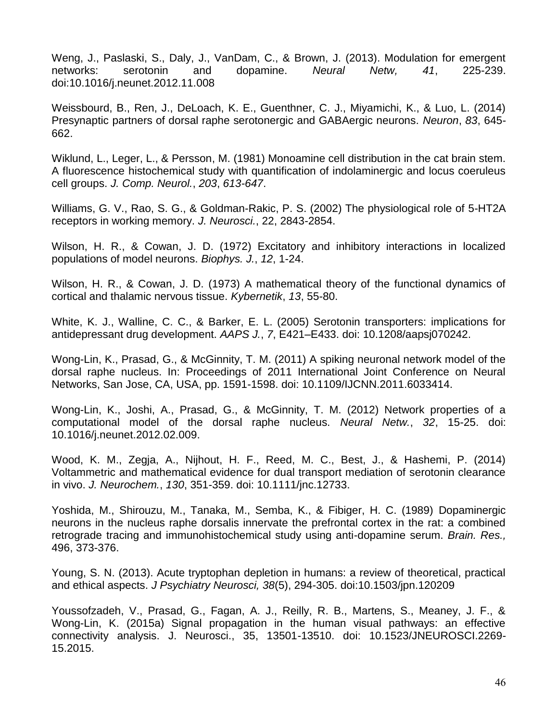Weng, J., Paslaski, S., Daly, J., VanDam, C., & Brown, J. (2013). Modulation for emergent networks: serotonin and dopamine. *Neural Netw, 41*, 225-239. doi:10.1016/j.neunet.2012.11.008

Weissbourd, B., Ren, J., DeLoach, K. E., Guenthner, C. J., Miyamichi, K., & Luo, L. (2014) Presynaptic partners of dorsal raphe serotonergic and GABAergic neurons. *Neuron*, *83*, 645- 662.

Wiklund, L., Leger, L., & Persson, M. (1981) Monoamine cell distribution in the cat brain stem. A fluorescence histochemical study with quantification of indolaminergic and locus coeruleus cell groups. *J. Comp. Neurol.*, *203*, *613-647*.

Williams, G. V., Rao, S. G., & Goldman-Rakic, P. S. (2002) The physiological role of 5-HT2A receptors in working memory. *J. Neurosci.*, 22, 2843-2854.

Wilson, H. R., & Cowan, J. D. (1972) Excitatory and inhibitory interactions in localized populations of model neurons. *Biophys. J.*, *12*, 1-24.

Wilson, H. R., & Cowan, J. D. (1973) A mathematical theory of the functional dynamics of cortical and thalamic nervous tissue. *Kybernetik*, *13*, 55-80.

White, K. J., Walline, C. C., & Barker, E. L. (2005) Serotonin transporters: implications for antidepressant drug development. *AAPS J.*, *7*, E421–E433. doi: 10.1208/aapsj070242.

Wong-Lin, K., Prasad, G., & McGinnity, T. M. (2011) A spiking neuronal network model of the dorsal raphe nucleus. In: Proceedings of 2011 International Joint Conference on Neural Networks, San Jose, CA, USA, pp. 1591-1598. doi: 10.1109/IJCNN.2011.6033414.

Wong-Lin, K., Joshi, A., Prasad, G., & McGinnity, T. M. (2012) Network properties of a computational model of the dorsal raphe nucleus. *Neural Netw.*, *32*, 15-25. doi: 10.1016/j.neunet.2012.02.009.

Wood, K. M., Zegja, A., Nijhout, H. F., Reed, M. C., Best, J., & Hashemi, P. (2014) Voltammetric and mathematical evidence for dual transport mediation of serotonin clearance in vivo. *J. Neurochem.*, *130*, 351-359. doi: 10.1111/jnc.12733.

Yoshida, M., Shirouzu, M., Tanaka, M., Semba, K., & Fibiger, H. C. (1989) Dopaminergic neurons in the nucleus raphe dorsalis innervate the prefrontal cortex in the rat: a combined retrograde tracing and immunohistochemical study using anti-dopamine serum. *Brain. Res.,*  496, 373-376.

Young, S. N. (2013). Acute tryptophan depletion in humans: a review of theoretical, practical and ethical aspects. *J Psychiatry Neurosci, 38*(5), 294-305. doi:10.1503/jpn.120209

Youssofzadeh, V., Prasad, G., Fagan, A. J., Reilly, R. B., Martens, S., Meaney, J. F., & Wong-Lin, K. (2015a) Signal propagation in the human visual pathways: an effective connectivity analysis. J. Neurosci., 35, 13501-13510. doi: 10.1523/JNEUROSCI.2269- 15.2015.